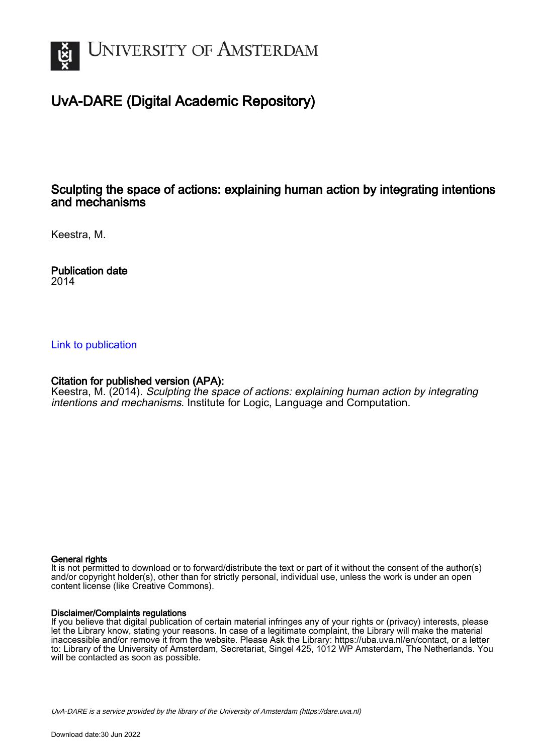

# UvA-DARE (Digital Academic Repository)

# Sculpting the space of actions: explaining human action by integrating intentions and mechanisms

Keestra, M.

Publication date 2014

# [Link to publication](https://dare.uva.nl/personal/pure/en/publications/sculpting-the-space-of-actions-explaining-human-action-by-integrating-intentions-and-mechanisms(0d728866-a0a3-47ab-bdb5-0a485ccb68d5).html)

# Citation for published version (APA):

Keestra, M. (2014). Sculpting the space of actions: explaining human action by integrating intentions and mechanisms. Institute for Logic, Language and Computation.

### General rights

It is not permitted to download or to forward/distribute the text or part of it without the consent of the author(s) and/or copyright holder(s), other than for strictly personal, individual use, unless the work is under an open content license (like Creative Commons).

### Disclaimer/Complaints regulations

If you believe that digital publication of certain material infringes any of your rights or (privacy) interests, please let the Library know, stating your reasons. In case of a legitimate complaint, the Library will make the material inaccessible and/or remove it from the website. Please Ask the Library: https://uba.uva.nl/en/contact, or a letter to: Library of the University of Amsterdam, Secretariat, Singel 425, 1012 WP Amsterdam, The Netherlands. You will be contacted as soon as possible.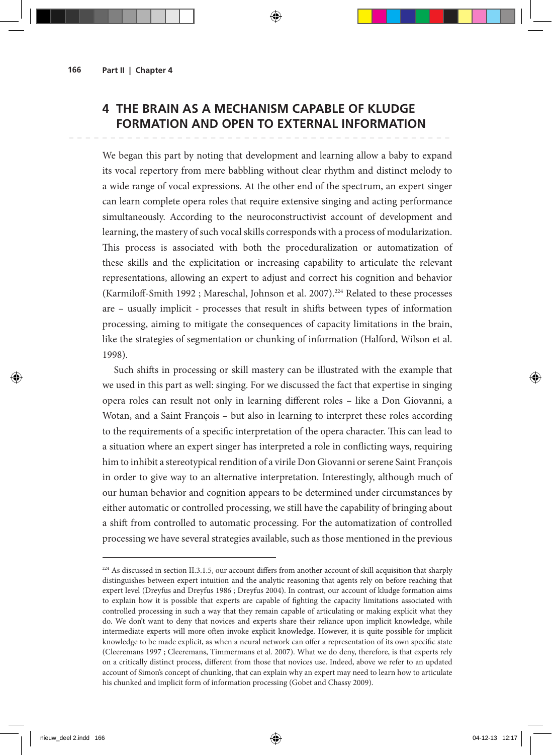# **4 THE BRAIN AS A MECHANISM CAPABLE OF KLUDGE FORMATION AND OPEN TO EXTERNAL INFORMATION**

We began this part by noting that development and learning allow a baby to expand its vocal repertory from mere babbling without clear rhythm and distinct melody to a wide range of vocal expressions. At the other end of the spectrum, an expert singer can learn complete opera roles that require extensive singing and acting performance simultaneously. According to the neuroconstructivist account of development and learning, the mastery of such vocal skills corresponds with a process of modularization. This process is associated with both the proceduralization or automatization of these skills and the explicitation or increasing capability to articulate the relevant representations, allowing an expert to adjust and correct his cognition and behavior (Karmiloff-Smith 1992 ; Mareschal, Johnson et al. 2007).224 Related to these processes are – usually implicit - processes that result in shifts between types of information processing, aiming to mitigate the consequences of capacity limitations in the brain, like the strategies of segmentation or chunking of information (Halford, Wilson et al. 1998).

Such shifts in processing or skill mastery can be illustrated with the example that we used in this part as well: singing. For we discussed the fact that expertise in singing opera roles can result not only in learning different roles – like a Don Giovanni, a Wotan, and a Saint François – but also in learning to interpret these roles according to the requirements of a specific interpretation of the opera character. This can lead to a situation where an expert singer has interpreted a role in conflicting ways, requiring him to inhibit a stereotypical rendition of a virile Don Giovanni or serene Saint François in order to give way to an alternative interpretation. Interestingly, although much of our human behavior and cognition appears to be determined under circumstances by either automatic or controlled processing, we still have the capability of bringing about a shift from controlled to automatic processing. For the automatization of controlled processing we have several strategies available, such as those mentioned in the previous

<sup>&</sup>lt;sup>224</sup> As discussed in section II.3.1.5, our account differs from another account of skill acquisition that sharply distinguishes between expert intuition and the analytic reasoning that agents rely on before reaching that expert level (Dreyfus and Dreyfus 1986 ; Dreyfus 2004). In contrast, our account of kludge formation aims to explain how it is possible that experts are capable of fighting the capacity limitations associated with controlled processing in such a way that they remain capable of articulating or making explicit what they do. We don't want to deny that novices and experts share their reliance upon implicit knowledge, while intermediate experts will more often invoke explicit knowledge. However, it is quite possible for implicit knowledge to be made explicit, as when a neural network can offer a representation of its own specific state (Cleeremans 1997 ; Cleeremans, Timmermans et al. 2007). What we do deny, therefore, is that experts rely on a critically distinct process, different from those that novices use. Indeed, above we refer to an updated account of Simon's concept of chunking, that can explain why an expert may need to learn how to articulate his chunked and implicit form of information processing (Gobet and Chassy 2009).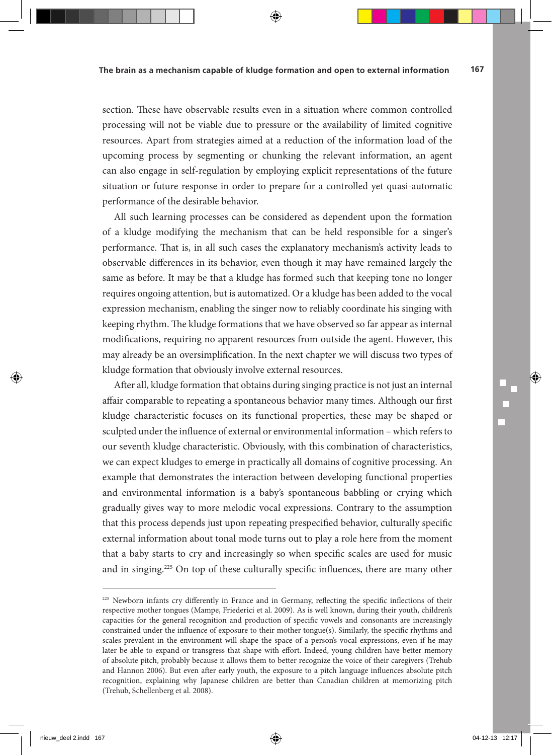section. These have observable results even in a situation where common controlled processing will not be viable due to pressure or the availability of limited cognitive resources. Apart from strategies aimed at a reduction of the information load of the upcoming process by segmenting or chunking the relevant information, an agent can also engage in self-regulation by employing explicit representations of the future situation or future response in order to prepare for a controlled yet quasi-automatic performance of the desirable behavior.

All such learning processes can be considered as dependent upon the formation of a kludge modifying the mechanism that can be held responsible for a singer's performance. That is, in all such cases the explanatory mechanism's activity leads to observable differences in its behavior, even though it may have remained largely the same as before. It may be that a kludge has formed such that keeping tone no longer requires ongoing attention, but is automatized. Or a kludge has been added to the vocal expression mechanism, enabling the singer now to reliably coordinate his singing with keeping rhythm. The kludge formations that we have observed so far appear as internal modifications, requiring no apparent resources from outside the agent. However, this may already be an oversimplification. In the next chapter we will discuss two types of kludge formation that obviously involve external resources.

After all, kludge formation that obtains during singing practice is not just an internal affair comparable to repeating a spontaneous behavior many times. Although our first kludge characteristic focuses on its functional properties, these may be shaped or sculpted under the influence of external or environmental information – which refers to our seventh kludge characteristic. Obviously, with this combination of characteristics, we can expect kludges to emerge in practically all domains of cognitive processing. An example that demonstrates the interaction between developing functional properties and environmental information is a baby's spontaneous babbling or crying which gradually gives way to more melodic vocal expressions. Contrary to the assumption that this process depends just upon repeating prespecified behavior, culturally specific external information about tonal mode turns out to play a role here from the moment that a baby starts to cry and increasingly so when specific scales are used for music and in singing.225 On top of these culturally specific influences, there are many other

П

<sup>&</sup>lt;sup>225</sup> Newborn infants cry differently in France and in Germany, reflecting the specific inflections of their respective mother tongues (Mampe, Friederici et al. 2009). As is well known, during their youth, children's capacities for the general recognition and production of specific vowels and consonants are increasingly constrained under the influence of exposure to their mother tongue(s). Similarly, the specific rhythms and scales prevalent in the environment will shape the space of a person's vocal expressions, even if he may later be able to expand or transgress that shape with effort. Indeed, young children have better memory of absolute pitch, probably because it allows them to better recognize the voice of their caregivers (Trehub and Hannon 2006). But even after early youth, the exposure to a pitch language influences absolute pitch recognition, explaining why Japanese children are better than Canadian children at memorizing pitch (Trehub, Schellenberg et al. 2008).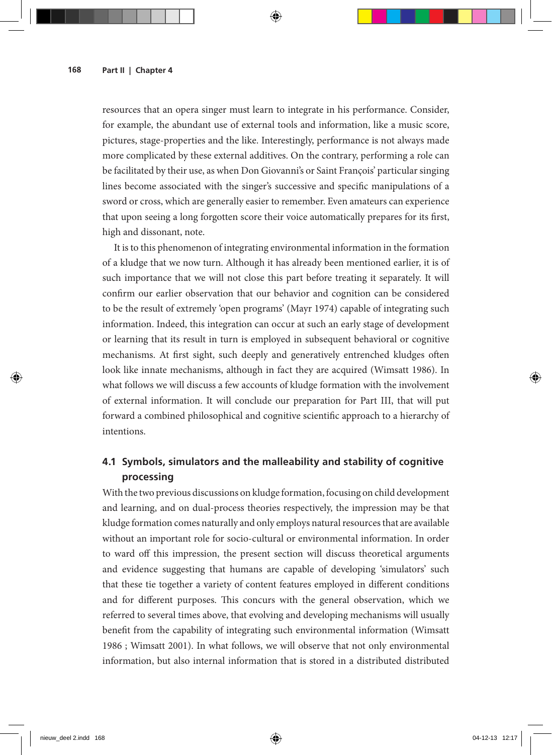resources that an opera singer must learn to integrate in his performance. Consider, for example, the abundant use of external tools and information, like a music score, pictures, stage-properties and the like. Interestingly, performance is not always made more complicated by these external additives. On the contrary, performing a role can be facilitated by their use, as when Don Giovanni's or Saint François' particular singing lines become associated with the singer's successive and specific manipulations of a sword or cross, which are generally easier to remember. Even amateurs can experience that upon seeing a long forgotten score their voice automatically prepares for its first, high and dissonant, note.

It is to this phenomenon of integrating environmental information in the formation of a kludge that we now turn. Although it has already been mentioned earlier, it is of such importance that we will not close this part before treating it separately. It will confirm our earlier observation that our behavior and cognition can be considered to be the result of extremely 'open programs' (Mayr 1974) capable of integrating such information. Indeed, this integration can occur at such an early stage of development or learning that its result in turn is employed in subsequent behavioral or cognitive mechanisms. At first sight, such deeply and generatively entrenched kludges often look like innate mechanisms, although in fact they are acquired (Wimsatt 1986). In what follows we will discuss a few accounts of kludge formation with the involvement of external information. It will conclude our preparation for Part III, that will put forward a combined philosophical and cognitive scientific approach to a hierarchy of intentions.

### **4.1 Symbols, simulators and the malleability and stability of cognitive processing**

With the two previous discussions on kludge formation, focusing on child development and learning, and on dual-process theories respectively, the impression may be that kludge formation comes naturally and only employs natural resources that are available without an important role for socio-cultural or environmental information. In order to ward off this impression, the present section will discuss theoretical arguments and evidence suggesting that humans are capable of developing 'simulators' such that these tie together a variety of content features employed in different conditions and for different purposes. This concurs with the general observation, which we referred to several times above, that evolving and developing mechanisms will usually benefit from the capability of integrating such environmental information (Wimsatt 1986 ; Wimsatt 2001). In what follows, we will observe that not only environmental information, but also internal information that is stored in a distributed distributed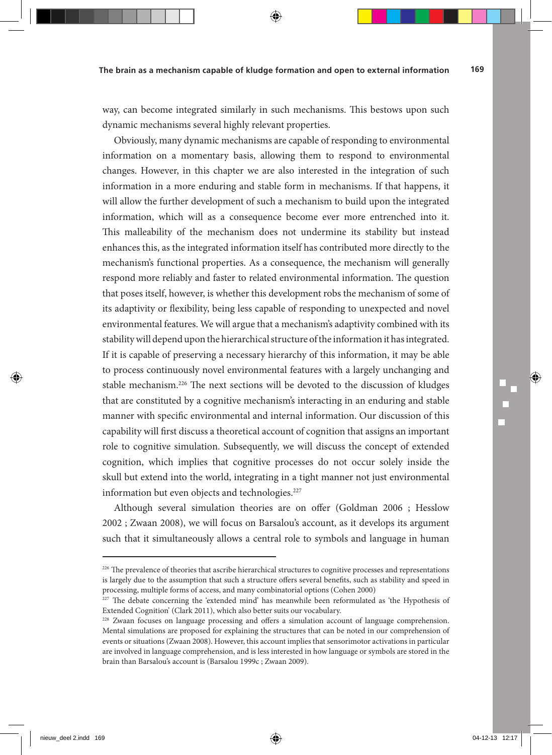way, can become integrated similarly in such mechanisms. This bestows upon such dynamic mechanisms several highly relevant properties.

Obviously, many dynamic mechanisms are capable of responding to environmental information on a momentary basis, allowing them to respond to environmental changes. However, in this chapter we are also interested in the integration of such information in a more enduring and stable form in mechanisms. If that happens, it will allow the further development of such a mechanism to build upon the integrated information, which will as a consequence become ever more entrenched into it. This malleability of the mechanism does not undermine its stability but instead enhances this, as the integrated information itself has contributed more directly to the mechanism's functional properties. As a consequence, the mechanism will generally respond more reliably and faster to related environmental information. The question that poses itself, however, is whether this development robs the mechanism of some of its adaptivity or flexibility, being less capable of responding to unexpected and novel environmental features. We will argue that a mechanism's adaptivity combined with its stability will depend upon the hierarchical structure of the information it has integrated. If it is capable of preserving a necessary hierarchy of this information, it may be able to process continuously novel environmental features with a largely unchanging and stable mechanism.226 The next sections will be devoted to the discussion of kludges that are constituted by a cognitive mechanism's interacting in an enduring and stable manner with specific environmental and internal information. Our discussion of this capability will first discuss a theoretical account of cognition that assigns an important role to cognitive simulation. Subsequently, we will discuss the concept of extended cognition, which implies that cognitive processes do not occur solely inside the skull but extend into the world, integrating in a tight manner not just environmental information but even objects and technologies.<sup>227</sup>

Although several simulation theories are on offer (Goldman 2006 ; Hesslow 2002 ; Zwaan 2008), we will focus on Barsalou's account, as it develops its argument such that it simultaneously allows a central role to symbols and language in human

<sup>&</sup>lt;sup>226</sup> The prevalence of theories that ascribe hierarchical structures to cognitive processes and representations is largely due to the assumption that such a structure offers several benefits, such as stability and speed in processing, multiple forms of access, and many combinatorial options (Cohen 2000)

<sup>&</sup>lt;sup>227</sup> The debate concerning the 'extended mind' has meanwhile been reformulated as 'the Hypothesis of Extended Cognition' (Clark 2011), which also better suits our vocabulary.

<sup>&</sup>lt;sup>228</sup> Zwaan focuses on language processing and offers a simulation account of language comprehension. Mental simulations are proposed for explaining the structures that can be noted in our comprehension of events or situations (Zwaan 2008). However, this account implies that sensorimotor activations in particular are involved in language comprehension, and is less interested in how language or symbols are stored in the brain than Barsalou's account is (Barsalou 1999c ; Zwaan 2009).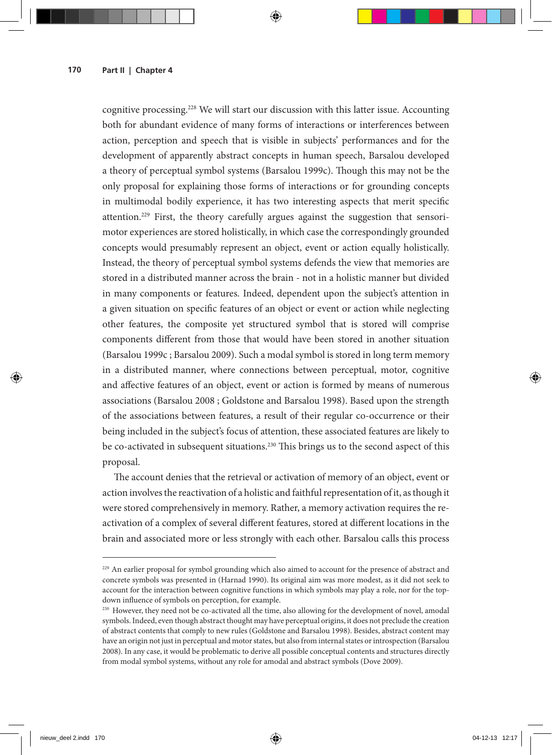cognitive processing.228 We will start our discussion with this latter issue. Accounting both for abundant evidence of many forms of interactions or interferences between action, perception and speech that is visible in subjects' performances and for the development of apparently abstract concepts in human speech, Barsalou developed a theory of perceptual symbol systems (Barsalou 1999c). Though this may not be the only proposal for explaining those forms of interactions or for grounding concepts in multimodal bodily experience, it has two interesting aspects that merit specific attention.229 First, the theory carefully argues against the suggestion that sensorimotor experiences are stored holistically, in which case the correspondingly grounded concepts would presumably represent an object, event or action equally holistically. Instead, the theory of perceptual symbol systems defends the view that memories are stored in a distributed manner across the brain - not in a holistic manner but divided in many components or features. Indeed, dependent upon the subject's attention in a given situation on specific features of an object or event or action while neglecting other features, the composite yet structured symbol that is stored will comprise components different from those that would have been stored in another situation (Barsalou 1999c ; Barsalou 2009). Such a modal symbol is stored in long term memory in a distributed manner, where connections between perceptual, motor, cognitive and affective features of an object, event or action is formed by means of numerous associations (Barsalou 2008 ; Goldstone and Barsalou 1998). Based upon the strength of the associations between features, a result of their regular co-occurrence or their being included in the subject's focus of attention, these associated features are likely to be co-activated in subsequent situations.230 This brings us to the second aspect of this proposal.

The account denies that the retrieval or activation of memory of an object, event or action involves the reactivation of a holistic and faithful representation of it, as though it were stored comprehensively in memory. Rather, a memory activation requires the reactivation of a complex of several different features, stored at different locations in the brain and associated more or less strongly with each other. Barsalou calls this process

<sup>&</sup>lt;sup>229</sup> An earlier proposal for symbol grounding which also aimed to account for the presence of abstract and concrete symbols was presented in (Harnad 1990). Its original aim was more modest, as it did not seek to account for the interaction between cognitive functions in which symbols may play a role, nor for the topdown influence of symbols on perception, for example.

<sup>&</sup>lt;sup>230</sup> However, they need not be co-activated all the time, also allowing for the development of novel, amodal symbols. Indeed, even though abstract thought may have perceptual origins, it does not preclude the creation of abstract contents that comply to new rules (Goldstone and Barsalou 1998). Besides, abstract content may have an origin not just in perceptual and motor states, but also from internal states or introspection (Barsalou 2008). In any case, it would be problematic to derive all possible conceptual contents and structures directly from modal symbol systems, without any role for amodal and abstract symbols (Dove 2009).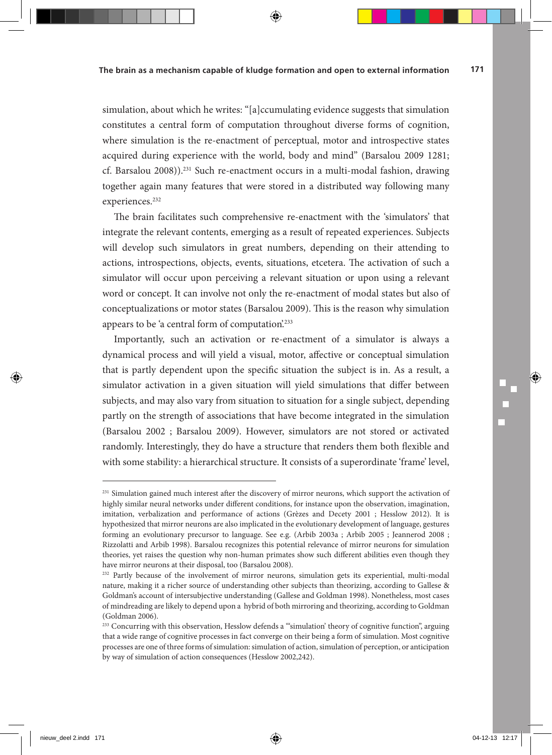simulation, about which he writes: "[a]ccumulating evidence suggests that simulation constitutes a central form of computation throughout diverse forms of cognition, where simulation is the re-enactment of perceptual, motor and introspective states acquired during experience with the world, body and mind" (Barsalou 2009 1281; cf. Barsalou 2008)).231 Such re-enactment occurs in a multi-modal fashion, drawing together again many features that were stored in a distributed way following many experiences.<sup>232</sup>

The brain facilitates such comprehensive re-enactment with the 'simulators' that integrate the relevant contents, emerging as a result of repeated experiences. Subjects will develop such simulators in great numbers, depending on their attending to actions, introspections, objects, events, situations, etcetera. The activation of such a simulator will occur upon perceiving a relevant situation or upon using a relevant word or concept. It can involve not only the re-enactment of modal states but also of conceptualizations or motor states (Barsalou 2009). This is the reason why simulation appears to be 'a central form of computation.<sup>233</sup>

Importantly, such an activation or re-enactment of a simulator is always a dynamical process and will yield a visual, motor, affective or conceptual simulation that is partly dependent upon the specific situation the subject is in. As a result, a simulator activation in a given situation will yield simulations that differ between subjects, and may also vary from situation to situation for a single subject, depending partly on the strength of associations that have become integrated in the simulation (Barsalou 2002 ; Barsalou 2009). However, simulators are not stored or activated randomly. Interestingly, they do have a structure that renders them both flexible and with some stability: a hierarchical structure. It consists of a superordinate 'frame' level,

<sup>&</sup>lt;sup>231</sup> Simulation gained much interest after the discovery of mirror neurons, which support the activation of highly similar neural networks under different conditions, for instance upon the observation, imagination, imitation, verbalization and performance of actions (Grèzes and Decety 2001 ; Hesslow 2012). It is hypothesized that mirror neurons are also implicated in the evolutionary development of language, gestures forming an evolutionary precursor to language. See e.g. (Arbib 2003a ; Arbib 2005 ; Jeannerod 2008 ; Rizzolatti and Arbib 1998). Barsalou recognizes this potential relevance of mirror neurons for simulation theories, yet raises the question why non-human primates show such different abilities even though they have mirror neurons at their disposal, too (Barsalou 2008).

<sup>&</sup>lt;sup>232</sup> Partly because of the involvement of mirror neurons, simulation gets its experiential, multi-modal nature, making it a richer source of understanding other subjects than theorizing, according to Gallese & Goldman's account of intersubjective understanding (Gallese and Goldman 1998). Nonetheless, most cases of mindreading are likely to depend upon a hybrid of both mirroring and theorizing, according to Goldman (Goldman 2006).

<sup>&</sup>lt;sup>233</sup> Concurring with this observation, Hesslow defends a ""simulation' theory of cognitive function", arguing that a wide range of cognitive processes in fact converge on their being a form of simulation. Most cognitive processes are one of three forms of simulation: simulation of action, simulation of perception, or anticipation by way of simulation of action consequences (Hesslow 2002,242).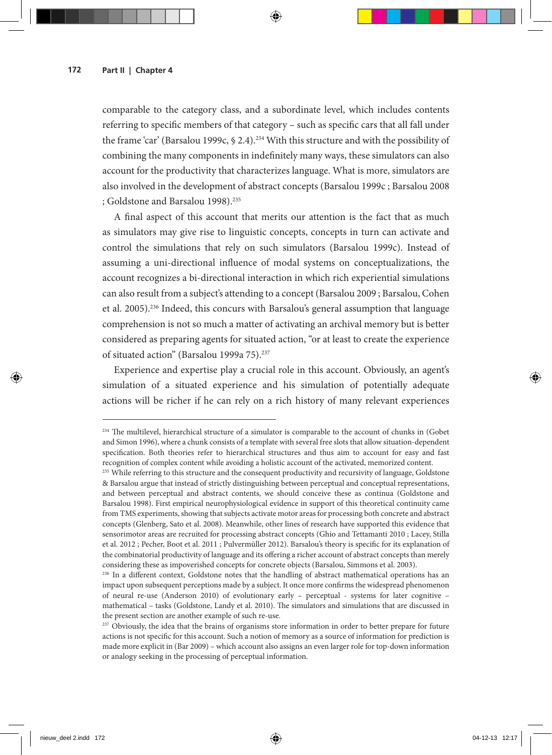comparable to the category class, and a subordinate level, which includes contents referring to specific members of that category – such as specific cars that all fall under the frame 'car' (Barsalou 1999c, § 2.4).<sup>234</sup> With this structure and with the possibility of combining the many components in indefinitely many ways, these simulators can also account for the productivity that characterizes language. What is more, simulators are also involved in the development of abstract concepts (Barsalou 1999c ; Barsalou 2008 ; Goldstone and Barsalou 1998).235

A final aspect of this account that merits our attention is the fact that as much as simulators may give rise to linguistic concepts, concepts in turn can activate and control the simulations that rely on such simulators (Barsalou 1999c). Instead of assuming a uni-directional influence of modal systems on conceptualizations, the account recognizes a bi-directional interaction in which rich experiential simulations can also result from a subject's attending to a concept (Barsalou 2009 ; Barsalou, Cohen et al. 2005).236 Indeed, this concurs with Barsalou's general assumption that language comprehension is not so much a matter of activating an archival memory but is better considered as preparing agents for situated action, "or at least to create the experience of situated action" (Barsalou 1999a 75).237

Experience and expertise play a crucial role in this account. Obviously, an agent's simulation of a situated experience and his simulation of potentially adequate actions will be richer if he can rely on a rich history of many relevant experiences

<sup>&</sup>lt;sup>234</sup> The multilevel, hierarchical structure of a simulator is comparable to the account of chunks in (Gobet and Simon 1996), where a chunk consists of a template with several free slots that allow situation-dependent specification. Both theories refer to hierarchical structures and thus aim to account for easy and fast recognition of complex content while avoiding a holistic account of the activated, memorized content.

<sup>&</sup>lt;sup>235</sup> While referring to this structure and the consequent productivity and recursivity of language, Goldstone & Barsalou argue that instead of strictly distinguishing between perceptual and conceptual representations, and between perceptual and abstract contents, we should conceive these as continua (Goldstone and Barsalou 1998). First empirical neurophysiological evidence in support of this theoretical continuity came from TMS experiments, showing that subjects activate motor areas for processing both concrete and abstract concepts (Glenberg, Sato et al. 2008). Meanwhile, other lines of research have supported this evidence that sensorimotor areas are recruited for processing abstract concepts (Ghio and Tettamanti 2010 ; Lacey, Stilla et al. 2012 ; Pecher, Boot et al. 2011 ; Pulvermüller 2012). Barsalou's theory is specific for its explanation of the combinatorial productivity of language and its offering a richer account of abstract concepts than merely considering these as impoverished concepts for concrete objects (Barsalou, Simmons et al. 2003).

<sup>&</sup>lt;sup>236</sup> In a different context, Goldstone notes that the handling of abstract mathematical operations has an impact upon subsequent perceptions made by a subject. It once more confirms the widespread phenomenon of neural re-use (Anderson 2010) of evolutionary early – perceptual - systems for later cognitive – mathematical – tasks (Goldstone, Landy et al. 2010). The simulators and simulations that are discussed in the present section are another example of such re-use.

<sup>&</sup>lt;sup>237</sup> Obviously, the idea that the brains of organisms store information in order to better prepare for future actions is not specific for this account. Such a notion of memory as a source of information for prediction is made more explicit in (Bar 2009) – which account also assigns an even larger role for top-down information or analogy seeking in the processing of perceptual information.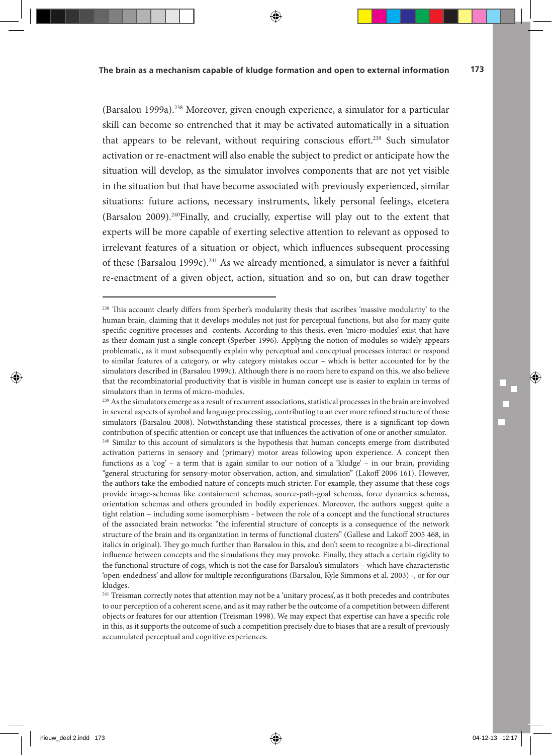(Barsalou 1999a).238 Moreover, given enough experience, a simulator for a particular skill can become so entrenched that it may be activated automatically in a situation that appears to be relevant, without requiring conscious effort.239 Such simulator activation or re-enactment will also enable the subject to predict or anticipate how the situation will develop, as the simulator involves components that are not yet visible in the situation but that have become associated with previously experienced, similar situations: future actions, necessary instruments, likely personal feelings, etcetera (Barsalou 2009).240Finally, and crucially, expertise will play out to the extent that experts will be more capable of exerting selective attention to relevant as opposed to irrelevant features of a situation or object, which influences subsequent processing of these (Barsalou 1999c).<sup>241</sup> As we already mentioned, a simulator is never a faithful re-enactment of a given object, action, situation and so on, but can draw together

<sup>&</sup>lt;sup>238</sup> This account clearly differs from Sperber's modularity thesis that ascribes 'massive modularity' to the human brain, claiming that it develops modules not just for perceptual functions, but also for many quite specific cognitive processes and contents. According to this thesis, even 'micro-modules' exist that have as their domain just a single concept (Sperber 1996). Applying the notion of modules so widely appears problematic, as it must subsequently explain why perceptual and conceptual processes interact or respond to similar features of a category, or why category mistakes occur – which is better accounted for by the simulators described in (Barsalou 1999c). Although there is no room here to expand on this, we also believe that the recombinatorial productivity that is visible in human concept use is easier to explain in terms of simulators than in terms of micro-modules.

<sup>&</sup>lt;sup>239</sup> As the simulators emerge as a result of recurrent associations, statistical processes in the brain are involved in several aspects of symbol and language processing, contributing to an ever more refined structure of those simulators (Barsalou 2008). Notwithstanding these statistical processes, there is a significant top-down contribution of specific attention or concept use that influences the activation of one or another simulator. 240 Similar to this account of simulators is the hypothesis that human concepts emerge from distributed activation patterns in sensory and (primary) motor areas following upon experience. A concept then functions as a 'cog' – a term that is again similar to our notion of a 'kludge' – in our brain, providing "general structuring for sensory-motor observation, action, and simulation" (Lakoff 2006 161). However, the authors take the embodied nature of concepts much stricter. For example, they assume that these cogs provide image-schemas like containment schemas, source-path-goal schemas, force dynamics schemas, orientation schemas and others grounded in bodily experiences. Moreover, the authors suggest quite a tight relation – including some isomorphism - between the role of a concept and the functional structures of the associated brain networks: "the inferential structure of concepts is a consequence of the network structure of the brain and its organization in terms of functional clusters" (Gallese and Lakoff 2005 468, in italics in original). They go much further than Barsalou in this, and don't seem to recognize a bi-directional influence between concepts and the simulations they may provoke. Finally, they attach a certain rigidity to the functional structure of cogs, which is not the case for Barsalou's simulators – which have characteristic 'open-endedness' and allow for multiple reconfigurations (Barsalou, Kyle Simmons et al. 2003) -, or for our kludges.

<sup>&</sup>lt;sup>241</sup> Treisman correctly notes that attention may not be a 'unitary process', as it both precedes and contributes to our perception of a coherent scene, and as it may rather be the outcome of a competition between different objects or features for our attention (Treisman 1998). We may expect that expertise can have a specific role in this, as it supports the outcome of such a competition precisely due to biases that are a result of previously accumulated perceptual and cognitive experiences.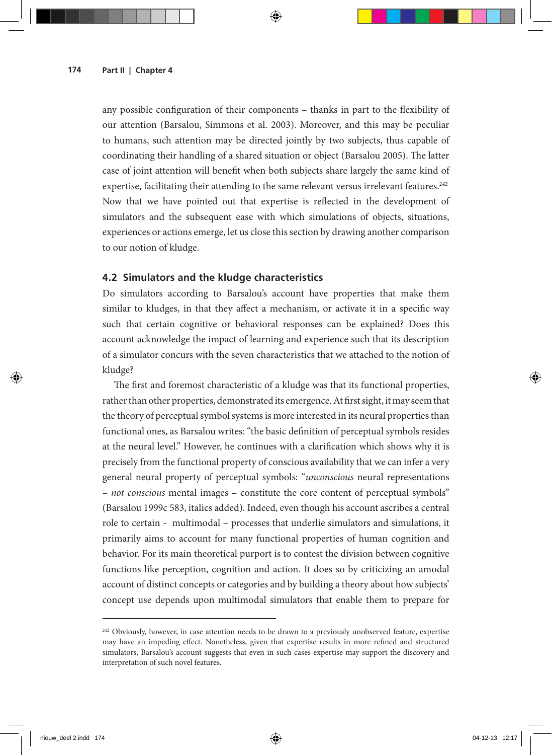any possible configuration of their components – thanks in part to the flexibility of our attention (Barsalou, Simmons et al. 2003). Moreover, and this may be peculiar to humans, such attention may be directed jointly by two subjects, thus capable of coordinating their handling of a shared situation or object (Barsalou 2005). The latter case of joint attention will benefit when both subjects share largely the same kind of expertise, facilitating their attending to the same relevant versus irrelevant features.<sup>242</sup> Now that we have pointed out that expertise is reflected in the development of simulators and the subsequent ease with which simulations of objects, situations, experiences or actions emerge, let us close this section by drawing another comparison to our notion of kludge.

#### **4.2 Simulators and the kludge characteristics**

Do simulators according to Barsalou's account have properties that make them similar to kludges, in that they affect a mechanism, or activate it in a specific way such that certain cognitive or behavioral responses can be explained? Does this account acknowledge the impact of learning and experience such that its description of a simulator concurs with the seven characteristics that we attached to the notion of kludge?

The first and foremost characteristic of a kludge was that its functional properties, rather than other properties, demonstrated its emergence. At first sight, it may seem that the theory of perceptual symbol systems is more interested in its neural properties than functional ones, as Barsalou writes: "the basic definition of perceptual symbols resides at the neural level." However, he continues with a clarification which shows why it is precisely from the functional property of conscious availability that we can infer a very general neural property of perceptual symbols: "*unconscious* neural representations – *not conscious* mental images – constitute the core content of perceptual symbols" (Barsalou 1999c 583, italics added). Indeed, even though his account ascribes a central role to certain - multimodal – processes that underlie simulators and simulations, it primarily aims to account for many functional properties of human cognition and behavior. For its main theoretical purport is to contest the division between cognitive functions like perception, cognition and action. It does so by criticizing an amodal account of distinct concepts or categories and by building a theory about how subjects' concept use depends upon multimodal simulators that enable them to prepare for

<sup>&</sup>lt;sup>242</sup> Obviously, however, in case attention needs to be drawn to a previously unobserved feature, expertise may have an impeding effect. Nonetheless, given that expertise results in more refined and structured simulators, Barsalou's account suggests that even in such cases expertise may support the discovery and interpretation of such novel features.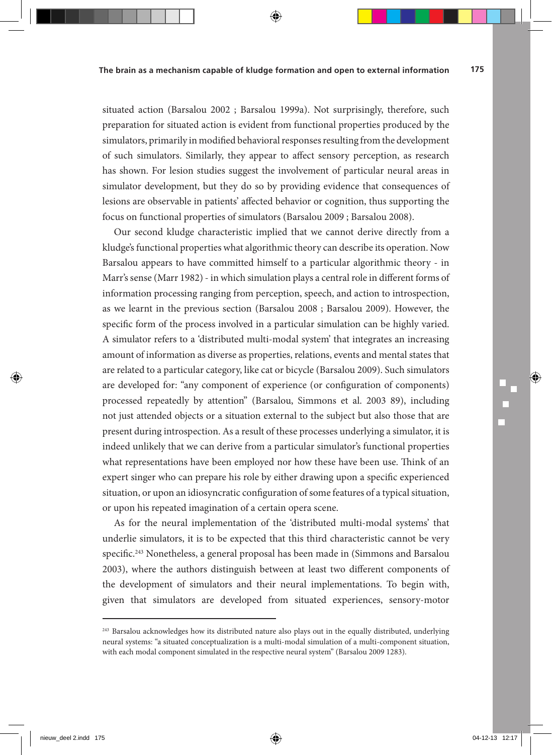situated action (Barsalou 2002 ; Barsalou 1999a). Not surprisingly, therefore, such preparation for situated action is evident from functional properties produced by the simulators, primarily in modified behavioral responses resulting from the development of such simulators. Similarly, they appear to affect sensory perception, as research has shown. For lesion studies suggest the involvement of particular neural areas in simulator development, but they do so by providing evidence that consequences of lesions are observable in patients' affected behavior or cognition, thus supporting the focus on functional properties of simulators (Barsalou 2009 ; Barsalou 2008).

Our second kludge characteristic implied that we cannot derive directly from a kludge's functional properties what algorithmic theory can describe its operation. Now Barsalou appears to have committed himself to a particular algorithmic theory - in Marr's sense (Marr 1982) - in which simulation plays a central role in different forms of information processing ranging from perception, speech, and action to introspection, as we learnt in the previous section (Barsalou 2008 ; Barsalou 2009). However, the specific form of the process involved in a particular simulation can be highly varied. A simulator refers to a 'distributed multi-modal system' that integrates an increasing amount of information as diverse as properties, relations, events and mental states that are related to a particular category, like cat or bicycle (Barsalou 2009). Such simulators are developed for: "any component of experience (or configuration of components) processed repeatedly by attention" (Barsalou, Simmons et al. 2003 89), including not just attended objects or a situation external to the subject but also those that are present during introspection. As a result of these processes underlying a simulator, it is indeed unlikely that we can derive from a particular simulator's functional properties what representations have been employed nor how these have been use. Think of an expert singer who can prepare his role by either drawing upon a specific experienced situation, or upon an idiosyncratic configuration of some features of a typical situation, or upon his repeated imagination of a certain opera scene.

As for the neural implementation of the 'distributed multi-modal systems' that underlie simulators, it is to be expected that this third characteristic cannot be very specific.243 Nonetheless, a general proposal has been made in (Simmons and Barsalou 2003), where the authors distinguish between at least two different components of the development of simulators and their neural implementations. To begin with, given that simulators are developed from situated experiences, sensory-motor

<sup>&</sup>lt;sup>243</sup> Barsalou acknowledges how its distributed nature also plays out in the equally distributed, underlying neural systems: "a situated conceptualization is a multi-modal simulation of a multi-component situation, with each modal component simulated in the respective neural system" (Barsalou 2009 1283).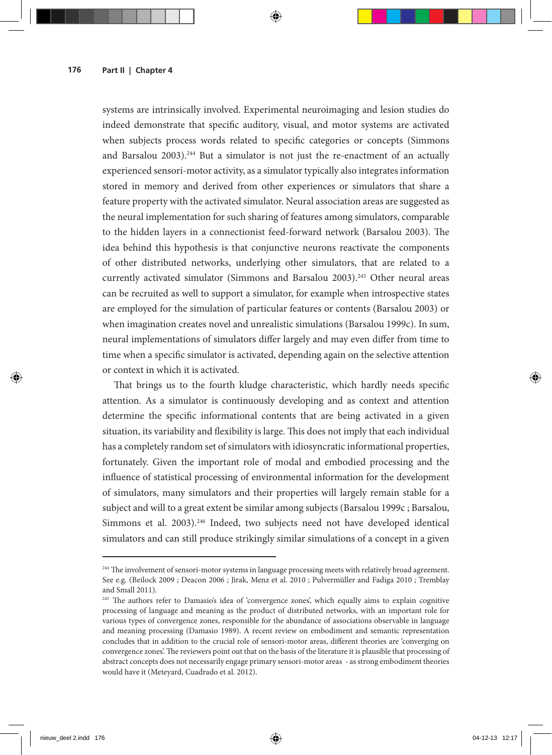systems are intrinsically involved. Experimental neuroimaging and lesion studies do indeed demonstrate that specific auditory, visual, and motor systems are activated when subjects process words related to specific categories or concepts (Simmons and Barsalou 2003).<sup>244</sup> But a simulator is not just the re-enactment of an actually experienced sensori-motor activity, as a simulator typically also integrates information stored in memory and derived from other experiences or simulators that share a feature property with the activated simulator. Neural association areas are suggested as the neural implementation for such sharing of features among simulators, comparable to the hidden layers in a connectionist feed-forward network (Barsalou 2003). The idea behind this hypothesis is that conjunctive neurons reactivate the components of other distributed networks, underlying other simulators, that are related to a currently activated simulator (Simmons and Barsalou 2003).<sup>245</sup> Other neural areas can be recruited as well to support a simulator, for example when introspective states are employed for the simulation of particular features or contents (Barsalou 2003) or when imagination creates novel and unrealistic simulations (Barsalou 1999c). In sum, neural implementations of simulators differ largely and may even differ from time to time when a specific simulator is activated, depending again on the selective attention or context in which it is activated.

That brings us to the fourth kludge characteristic, which hardly needs specific attention. As a simulator is continuously developing and as context and attention determine the specific informational contents that are being activated in a given situation, its variability and flexibility is large. This does not imply that each individual has a completely random set of simulators with idiosyncratic informational properties, fortunately. Given the important role of modal and embodied processing and the influence of statistical processing of environmental information for the development of simulators, many simulators and their properties will largely remain stable for a subject and will to a great extent be similar among subjects (Barsalou 1999c ; Barsalou, Simmons et al. 2003).<sup>246</sup> Indeed, two subjects need not have developed identical simulators and can still produce strikingly similar simulations of a concept in a given

<sup>&</sup>lt;sup>244</sup> The involvement of sensori-motor systems in language processing meets with relatively broad agreement. See e.g. (Beilock 2009 ; Deacon 2006 ; Jirak, Menz et al. 2010 ; Pulvermüller and Fadiga 2010 ; Tremblay and Small 2011).

<sup>245</sup> The authors refer to Damasio's idea of 'convergence zones', which equally aims to explain cognitive processing of language and meaning as the product of distributed networks, with an important role for various types of convergence zones, responsible for the abundance of associations observable in language and meaning processing (Damasio 1989). A recent review on embodiment and semantic representation concludes that in addition to the crucial role of sensori-motor areas, different theories are 'converging on convergence zones'. The reviewers point out that on the basis of the literature it is plausible that processing of abstract concepts does not necessarily engage primary sensori-motor areas - as strong embodiment theories would have it (Meteyard, Cuadrado et al. 2012).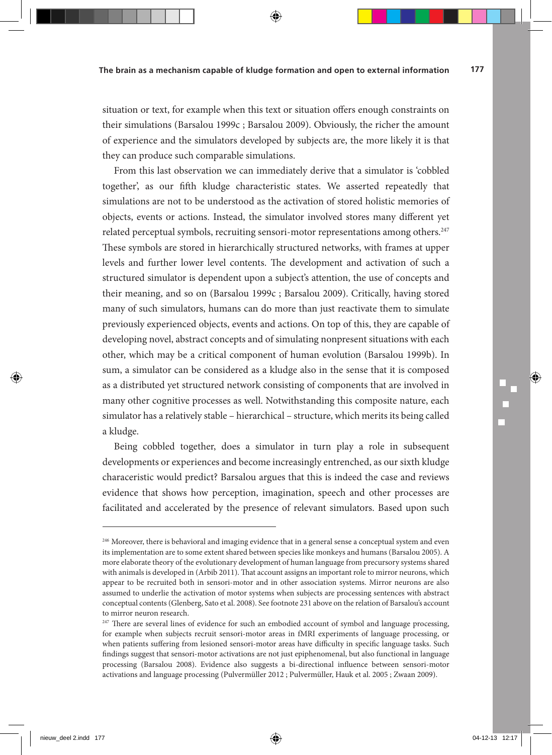situation or text, for example when this text or situation offers enough constraints on their simulations (Barsalou 1999c ; Barsalou 2009). Obviously, the richer the amount of experience and the simulators developed by subjects are, the more likely it is that they can produce such comparable simulations.

From this last observation we can immediately derive that a simulator is 'cobbled together', as our fifth kludge characteristic states. We asserted repeatedly that simulations are not to be understood as the activation of stored holistic memories of objects, events or actions. Instead, the simulator involved stores many different yet related perceptual symbols, recruiting sensori-motor representations among others.<sup>247</sup> These symbols are stored in hierarchically structured networks, with frames at upper levels and further lower level contents. The development and activation of such a structured simulator is dependent upon a subject's attention, the use of concepts and their meaning, and so on (Barsalou 1999c ; Barsalou 2009). Critically, having stored many of such simulators, humans can do more than just reactivate them to simulate previously experienced objects, events and actions. On top of this, they are capable of developing novel, abstract concepts and of simulating nonpresent situations with each other, which may be a critical component of human evolution (Barsalou 1999b). In sum, a simulator can be considered as a kludge also in the sense that it is composed as a distributed yet structured network consisting of components that are involved in many other cognitive processes as well. Notwithstanding this composite nature, each simulator has a relatively stable – hierarchical – structure, which merits its being called a kludge.

Being cobbled together, does a simulator in turn play a role in subsequent developments or experiences and become increasingly entrenched, as our sixth kludge characeristic would predict? Barsalou argues that this is indeed the case and reviews evidence that shows how perception, imagination, speech and other processes are facilitated and accelerated by the presence of relevant simulators. Based upon such

<sup>&</sup>lt;sup>246</sup> Moreover, there is behavioral and imaging evidence that in a general sense a conceptual system and even its implementation are to some extent shared between species like monkeys and humans (Barsalou 2005). A more elaborate theory of the evolutionary development of human language from precursory systems shared with animals is developed in (Arbib 2011). That account assigns an important role to mirror neurons, which appear to be recruited both in sensori-motor and in other association systems. Mirror neurons are also assumed to underlie the activation of motor systems when subjects are processing sentences with abstract conceptual contents (Glenberg, Sato et al. 2008). See footnote 231 above on the relation of Barsalou's account to mirror neuron research.

<sup>&</sup>lt;sup>247</sup> There are several lines of evidence for such an embodied account of symbol and language processing, for example when subjects recruit sensori-motor areas in fMRI experiments of language processing, or when patients suffering from lesioned sensori-motor areas have difficulty in specific language tasks. Such findings suggest that sensori-motor activations are not just epiphenomenal, but also functional in language processing (Barsalou 2008). Evidence also suggests a bi-directional influence between sensori-motor activations and language processing (Pulvermüller 2012 ; Pulvermüller, Hauk et al. 2005 ; Zwaan 2009).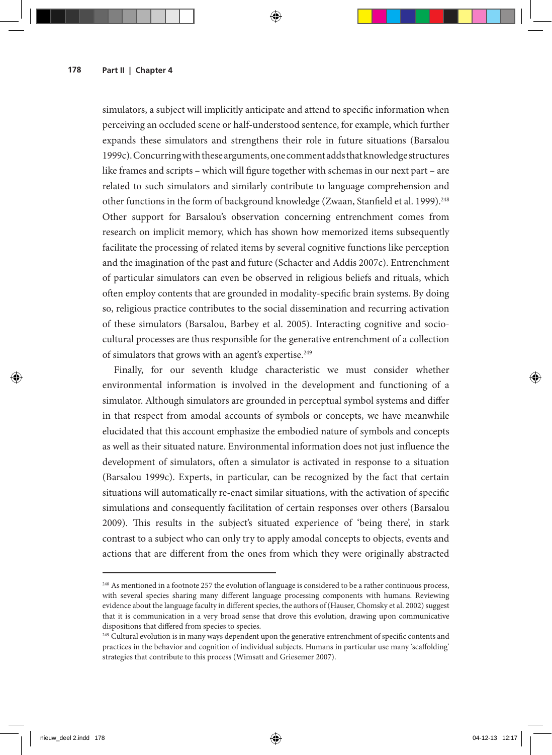simulators, a subject will implicitly anticipate and attend to specific information when perceiving an occluded scene or half-understood sentence, for example, which further expands these simulators and strengthens their role in future situations (Barsalou 1999c). Concurring with these arguments, one comment adds that knowledge structures like frames and scripts – which will figure together with schemas in our next part – are related to such simulators and similarly contribute to language comprehension and other functions in the form of background knowledge (Zwaan, Stanfield et al. 1999).<sup>248</sup> Other support for Barsalou's observation concerning entrenchment comes from research on implicit memory, which has shown how memorized items subsequently facilitate the processing of related items by several cognitive functions like perception and the imagination of the past and future (Schacter and Addis 2007c). Entrenchment of particular simulators can even be observed in religious beliefs and rituals, which often employ contents that are grounded in modality-specific brain systems. By doing so, religious practice contributes to the social dissemination and recurring activation of these simulators (Barsalou, Barbey et al. 2005). Interacting cognitive and sociocultural processes are thus responsible for the generative entrenchment of a collection of simulators that grows with an agent's expertise.<sup>249</sup>

Finally, for our seventh kludge characteristic we must consider whether environmental information is involved in the development and functioning of a simulator. Although simulators are grounded in perceptual symbol systems and differ in that respect from amodal accounts of symbols or concepts, we have meanwhile elucidated that this account emphasize the embodied nature of symbols and concepts as well as their situated nature. Environmental information does not just influence the development of simulators, often a simulator is activated in response to a situation (Barsalou 1999c). Experts, in particular, can be recognized by the fact that certain situations will automatically re-enact similar situations, with the activation of specific simulations and consequently facilitation of certain responses over others (Barsalou 2009). This results in the subject's situated experience of 'being there', in stark contrast to a subject who can only try to apply amodal concepts to objects, events and actions that are different from the ones from which they were originally abstracted

<sup>&</sup>lt;sup>248</sup> As mentioned in a footnote 257 the evolution of language is considered to be a rather continuous process, with several species sharing many different language processing components with humans. Reviewing evidence about the language faculty in different species, the authors of (Hauser, Chomsky et al. 2002) suggest that it is communication in a very broad sense that drove this evolution, drawing upon communicative dispositions that differed from species to species.

<sup>&</sup>lt;sup>249</sup> Cultural evolution is in many ways dependent upon the generative entrenchment of specific contents and practices in the behavior and cognition of individual subjects. Humans in particular use many 'scaffolding' strategies that contribute to this process (Wimsatt and Griesemer 2007).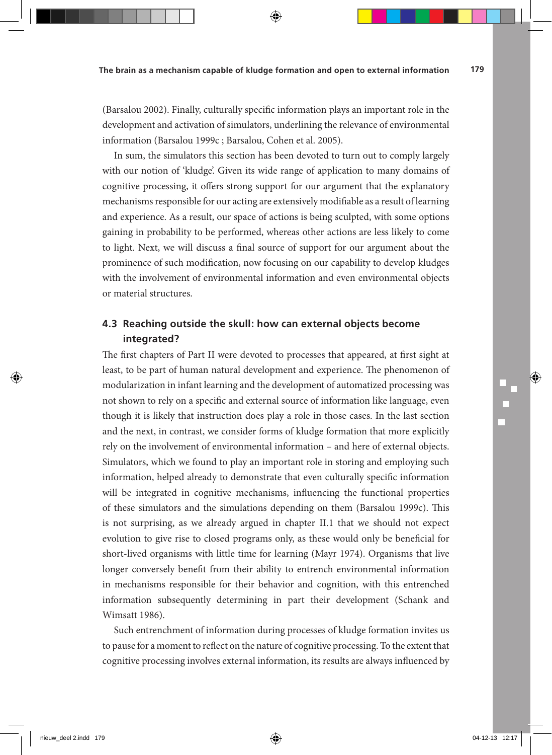(Barsalou 2002). Finally, culturally specific information plays an important role in the development and activation of simulators, underlining the relevance of environmental information (Barsalou 1999c ; Barsalou, Cohen et al. 2005).

In sum, the simulators this section has been devoted to turn out to comply largely with our notion of 'kludge'. Given its wide range of application to many domains of cognitive processing, it offers strong support for our argument that the explanatory mechanisms responsible for our acting are extensively modifiable as a result of learning and experience. As a result, our space of actions is being sculpted, with some options gaining in probability to be performed, whereas other actions are less likely to come to light. Next, we will discuss a final source of support for our argument about the prominence of such modification, now focusing on our capability to develop kludges with the involvement of environmental information and even environmental objects or material structures.

### **4.3 Reaching outside the skull: how can external objects become integrated?**

The first chapters of Part II were devoted to processes that appeared, at first sight at least, to be part of human natural development and experience. The phenomenon of modularization in infant learning and the development of automatized processing was not shown to rely on a specific and external source of information like language, even though it is likely that instruction does play a role in those cases. In the last section and the next, in contrast, we consider forms of kludge formation that more explicitly rely on the involvement of environmental information – and here of external objects. Simulators, which we found to play an important role in storing and employing such information, helped already to demonstrate that even culturally specific information will be integrated in cognitive mechanisms, influencing the functional properties of these simulators and the simulations depending on them (Barsalou 1999c). This is not surprising, as we already argued in chapter II.1 that we should not expect evolution to give rise to closed programs only, as these would only be beneficial for short-lived organisms with little time for learning (Mayr 1974). Organisms that live longer conversely benefit from their ability to entrench environmental information in mechanisms responsible for their behavior and cognition, with this entrenched information subsequently determining in part their development (Schank and Wimsatt 1986).

Such entrenchment of information during processes of kludge formation invites us to pause for a moment to reflect on the nature of cognitive processing. To the extent that cognitive processing involves external information, its results are always influenced by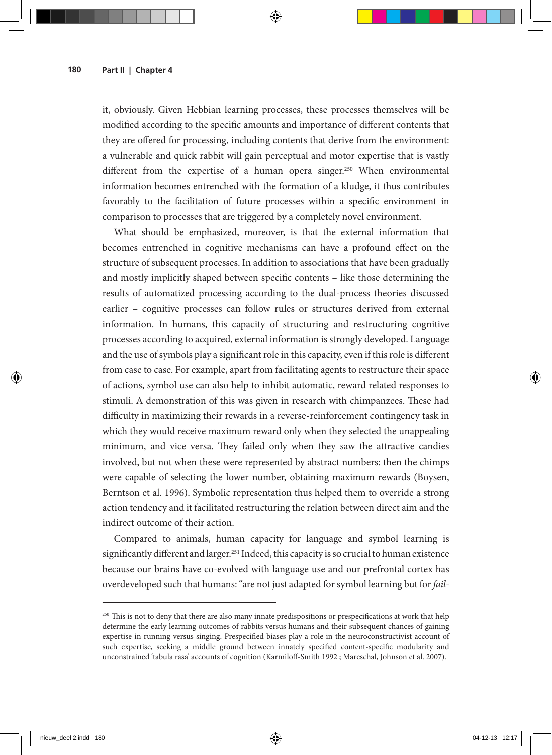it, obviously. Given Hebbian learning processes, these processes themselves will be modified according to the specific amounts and importance of different contents that they are offered for processing, including contents that derive from the environment: a vulnerable and quick rabbit will gain perceptual and motor expertise that is vastly different from the expertise of a human opera singer.<sup>250</sup> When environmental information becomes entrenched with the formation of a kludge, it thus contributes favorably to the facilitation of future processes within a specific environment in comparison to processes that are triggered by a completely novel environment.

What should be emphasized, moreover, is that the external information that becomes entrenched in cognitive mechanisms can have a profound effect on the structure of subsequent processes. In addition to associations that have been gradually and mostly implicitly shaped between specific contents – like those determining the results of automatized processing according to the dual-process theories discussed earlier – cognitive processes can follow rules or structures derived from external information. In humans, this capacity of structuring and restructuring cognitive processes according to acquired, external information is strongly developed. Language and the use of symbols play a significant role in this capacity, even if this role is different from case to case. For example, apart from facilitating agents to restructure their space of actions, symbol use can also help to inhibit automatic, reward related responses to stimuli. A demonstration of this was given in research with chimpanzees. These had difficulty in maximizing their rewards in a reverse-reinforcement contingency task in which they would receive maximum reward only when they selected the unappealing minimum, and vice versa. They failed only when they saw the attractive candies involved, but not when these were represented by abstract numbers: then the chimps were capable of selecting the lower number, obtaining maximum rewards (Boysen, Berntson et al. 1996). Symbolic representation thus helped them to override a strong action tendency and it facilitated restructuring the relation between direct aim and the indirect outcome of their action.

Compared to animals, human capacity for language and symbol learning is significantly different and larger.<sup>251</sup> Indeed, this capacity is so crucial to human existence because our brains have co-evolved with language use and our prefrontal cortex has overdeveloped such that humans: "are not just adapted for symbol learning but for *fail-*

<sup>&</sup>lt;sup>250</sup> This is not to deny that there are also many innate predispositions or prespecifications at work that help determine the early learning outcomes of rabbits versus humans and their subsequent chances of gaining expertise in running versus singing. Prespecified biases play a role in the neuroconstructivist account of such expertise, seeking a middle ground between innately specified content-specific modularity and unconstrained 'tabula rasa' accounts of cognition (Karmiloff-Smith 1992 ; Mareschal, Johnson et al. 2007).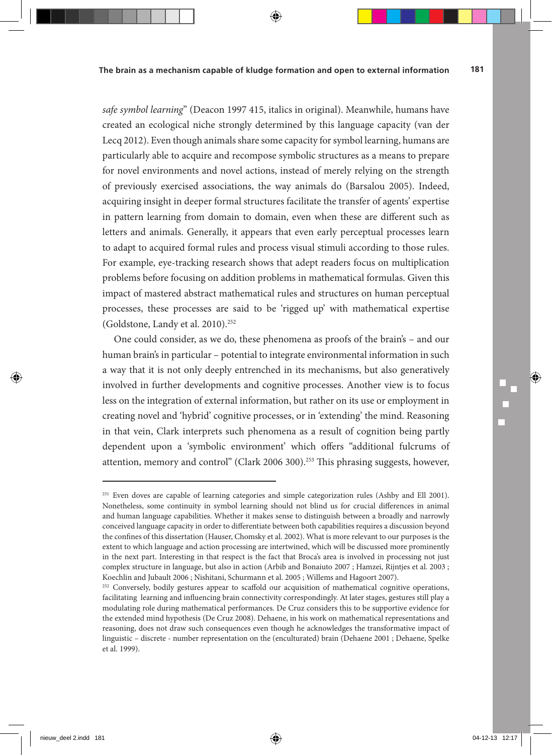*safe symbol learning*" (Deacon 1997 415, italics in original). Meanwhile, humans have created an ecological niche strongly determined by this language capacity (van der Lecq 2012). Even though animals share some capacity for symbol learning, humans are particularly able to acquire and recompose symbolic structures as a means to prepare for novel environments and novel actions, instead of merely relying on the strength of previously exercised associations, the way animals do (Barsalou 2005). Indeed, acquiring insight in deeper formal structures facilitate the transfer of agents' expertise in pattern learning from domain to domain, even when these are different such as letters and animals. Generally, it appears that even early perceptual processes learn to adapt to acquired formal rules and process visual stimuli according to those rules. For example, eye-tracking research shows that adept readers focus on multiplication problems before focusing on addition problems in mathematical formulas. Given this impact of mastered abstract mathematical rules and structures on human perceptual processes, these processes are said to be 'rigged up' with mathematical expertise (Goldstone, Landy et al. 2010).<sup>252</sup>

One could consider, as we do, these phenomena as proofs of the brain's – and our human brain's in particular – potential to integrate environmental information in such a way that it is not only deeply entrenched in its mechanisms, but also generatively involved in further developments and cognitive processes. Another view is to focus less on the integration of external information, but rather on its use or employment in creating novel and 'hybrid' cognitive processes, or in 'extending' the mind. Reasoning in that vein, Clark interprets such phenomena as a result of cognition being partly dependent upon a 'symbolic environment' which offers "additional fulcrums of attention, memory and control" (Clark 2006 300).<sup>253</sup> This phrasing suggests, however,

<sup>&</sup>lt;sup>251</sup> Even doves are capable of learning categories and simple categorization rules (Ashby and Ell 2001). Nonetheless, some continuity in symbol learning should not blind us for crucial differences in animal and human language capabilities. Whether it makes sense to distinguish between a broadly and narrowly conceived language capacity in order to differentiate between both capabilities requires a discussion beyond the confines of this dissertation (Hauser, Chomsky et al. 2002). What is more relevant to our purposes is the extent to which language and action processing are intertwined, which will be discussed more prominently in the next part. Interesting in that respect is the fact that Broca's area is involved in processing not just complex structure in language, but also in action (Arbib and Bonaiuto 2007 ; Hamzei, Rijntjes et al. 2003 ; Koechlin and Jubault 2006 ; Nishitani, Schurmann et al. 2005 ; Willems and Hagoort 2007).

<sup>&</sup>lt;sup>252</sup> Conversely, bodily gestures appear to scaffold our acquisition of mathematical cognitive operations, facilitating learning and influencing brain connectivity correspondingly. At later stages, gestures still play a modulating role during mathematical performances. De Cruz considers this to be supportive evidence for the extended mind hypothesis (De Cruz 2008). Dehaene, in his work on mathematical representations and reasoning, does not draw such consequences even though he acknowledges the transformative impact of linguistic – discrete - number representation on the (enculturated) brain (Dehaene 2001 ; Dehaene, Spelke et al. 1999).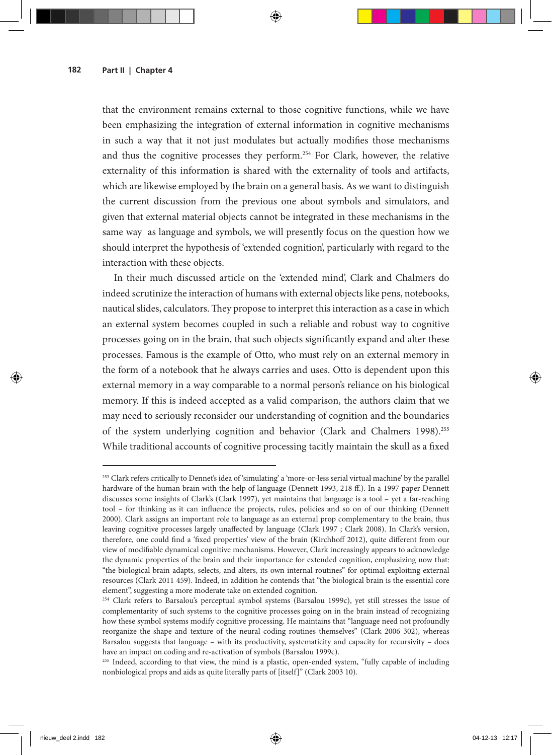that the environment remains external to those cognitive functions, while we have been emphasizing the integration of external information in cognitive mechanisms in such a way that it not just modulates but actually modifies those mechanisms and thus the cognitive processes they perform.254 For Clark, however, the relative externality of this information is shared with the externality of tools and artifacts, which are likewise employed by the brain on a general basis. As we want to distinguish the current discussion from the previous one about symbols and simulators, and given that external material objects cannot be integrated in these mechanisms in the same way as language and symbols, we will presently focus on the question how we should interpret the hypothesis of 'extended cognition', particularly with regard to the interaction with these objects.

In their much discussed article on the 'extended mind', Clark and Chalmers do indeed scrutinize the interaction of humans with external objects like pens, notebooks, nautical slides, calculators. They propose to interpret this interaction as a case in which an external system becomes coupled in such a reliable and robust way to cognitive processes going on in the brain, that such objects significantly expand and alter these processes. Famous is the example of Otto, who must rely on an external memory in the form of a notebook that he always carries and uses. Otto is dependent upon this external memory in a way comparable to a normal person's reliance on his biological memory. If this is indeed accepted as a valid comparison, the authors claim that we may need to seriously reconsider our understanding of cognition and the boundaries of the system underlying cognition and behavior (Clark and Chalmers 1998).255 While traditional accounts of cognitive processing tacitly maintain the skull as a fixed

<sup>253</sup> Clark refers critically to Dennet's idea of 'simulating' a 'more-or-less serial virtual machine' by the parallel hardware of the human brain with the help of language (Dennett 1993, 218 ff.). In a 1997 paper Dennett discusses some insights of Clark's (Clark 1997), yet maintains that language is a tool – yet a far-reaching tool – for thinking as it can influence the projects, rules, policies and so on of our thinking (Dennett 2000). Clark assigns an important role to language as an external prop complementary to the brain, thus leaving cognitive processes largely unaffected by language (Clark 1997 ; Clark 2008). In Clark's version, therefore, one could find a 'fixed properties' view of the brain (Kirchhoff 2012), quite different from our view of modifiable dynamical cognitive mechanisms. However, Clark increasingly appears to acknowledge the dynamic properties of the brain and their importance for extended cognition, emphasizing now that: "the biological brain adapts, selects, and alters, its own internal routines" for optimal exploiting external resources (Clark 2011 459). Indeed, in addition he contends that "the biological brain is the essential core element", suggesting a more moderate take on extended cognition.

<sup>254</sup> Clark refers to Barsalou's perceptual symbol systems (Barsalou 1999c), yet still stresses the issue of complementarity of such systems to the cognitive processes going on in the brain instead of recognizing how these symbol systems modify cognitive processing. He maintains that "language need not profoundly reorganize the shape and texture of the neural coding routines themselves" (Clark 2006 302), whereas Barsalou suggests that language – with its productivity, systematicity and capacity for recursivity – does have an impact on coding and re-activation of symbols (Barsalou 1999c).

<sup>&</sup>lt;sup>255</sup> Indeed, according to that view, the mind is a plastic, open-ended system, "fully capable of including nonbiological props and aids as quite literally parts of [itself]" (Clark 2003 10).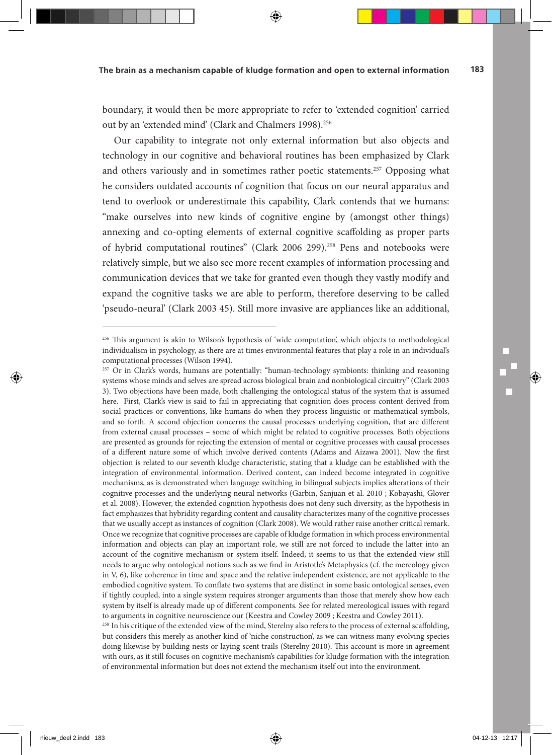boundary, it would then be more appropriate to refer to 'extended cognition' carried out by an 'extended mind' (Clark and Chalmers 1998).<sup>256</sup>

Our capability to integrate not only external information but also objects and technology in our cognitive and behavioral routines has been emphasized by Clark and others variously and in sometimes rather poetic statements.257 Opposing what he considers outdated accounts of cognition that focus on our neural apparatus and tend to overlook or underestimate this capability, Clark contends that we humans: "make ourselves into new kinds of cognitive engine by (amongst other things) annexing and co-opting elements of external cognitive scaffolding as proper parts of hybrid computational routines" (Clark 2006 299).<sup>258</sup> Pens and notebooks were relatively simple, but we also see more recent examples of information processing and communication devices that we take for granted even though they vastly modify and expand the cognitive tasks we are able to perform, therefore deserving to be called 'pseudo-neural' (Clark 2003 45). Still more invasive are appliances like an additional,

<sup>256</sup> This argument is akin to Wilson's hypothesis of 'wide computation', which objects to methodological individualism in psychology, as there are at times environmental features that play a role in an individual's computational processes (Wilson 1994).

<sup>&</sup>lt;sup>257</sup> Or in Clark's words, humans are potentially: "human-technology symbionts: thinking and reasoning systems whose minds and selves are spread across biological brain and nonbiological circuitry" (Clark 2003 3). Two objections have been made, both challenging the ontological status of the system that is assumed here. First, Clark's view is said to fail in appreciating that cognition does process content derived from social practices or conventions, like humans do when they process linguistic or mathematical symbols, and so forth. A second objection concerns the causal processes underlying cognition, that are different from external causal processes – some of which might be related to cognitive processes. Both objections are presented as grounds for rejecting the extension of mental or cognitive processes with causal processes of a different nature some of which involve derived contents (Adams and Aizawa 2001). Now the first objection is related to our seventh kludge characteristic, stating that a kludge can be established with the integration of environmental information. Derived content, can indeed become integrated in cognitive mechanisms, as is demonstrated when language switching in bilingual subjects implies alterations of their cognitive processes and the underlying neural networks (Garbin, Sanjuan et al. 2010 ; Kobayashi, Glover et al. 2008). However, the extended cognition hypothesis does not deny such diversity, as the hypothesis in fact emphasizes that hybridity regarding content and causality characterizes many of the cognitive processes that we usually accept as instances of cognition (Clark 2008). We would rather raise another critical remark. Once we recognize that cognitive processes are capable of kludge formation in which process environmental information and objects can play an important role, we still are not forced to include the latter into an account of the cognitive mechanism or system itself. Indeed, it seems to us that the extended view still needs to argue why ontological notions such as we find in Aristotle's Metaphysics (cf. the mereology given in V, 6), like coherence in time and space and the relative independent existence, are not applicable to the embodied cognitive system. To conflate two systems that are distinct in some basic ontological senses, even if tightly coupled, into a single system requires stronger arguments than those that merely show how each system by itself is already made up of different components. See for related mereological issues with regard to arguments in cognitive neuroscience our (Keestra and Cowley 2009 ; Keestra and Cowley 2011).

<sup>&</sup>lt;sup>258</sup> In his critique of the extended view of the mind, Sterelny also refers to the process of external scaffolding, but considers this merely as another kind of 'niche construction', as we can witness many evolving species doing likewise by building nests or laying scent trails (Sterelny 2010). This account is more in agreement with ours, as it still focuses on cognitive mechanism's capabilities for kludge formation with the integration of environmental information but does not extend the mechanism itself out into the environment.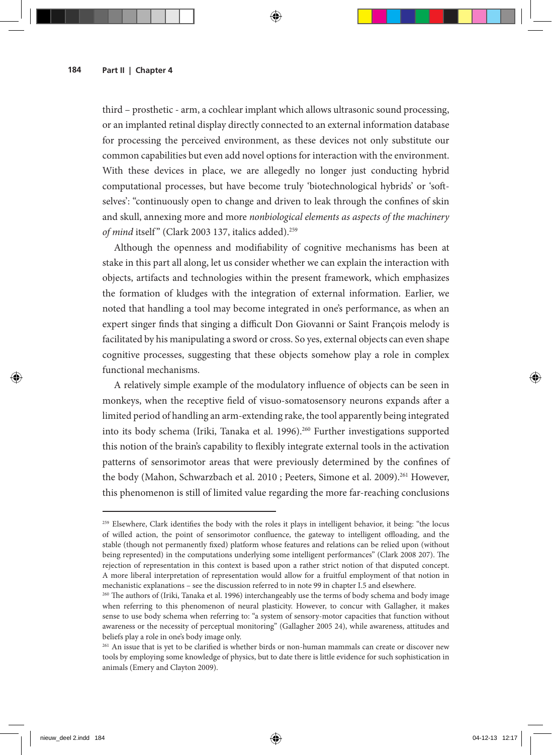third – prosthetic - arm, a cochlear implant which allows ultrasonic sound processing, or an implanted retinal display directly connected to an external information database for processing the perceived environment, as these devices not only substitute our common capabilities but even add novel options for interaction with the environment. With these devices in place, we are allegedly no longer just conducting hybrid computational processes, but have become truly 'biotechnological hybrids' or 'softselves': "continuously open to change and driven to leak through the confines of skin and skull, annexing more and more *nonbiological elements as aspects of the machinery*  of mind itself" (Clark 2003 137, italics added).<sup>259</sup>

Although the openness and modifiability of cognitive mechanisms has been at stake in this part all along, let us consider whether we can explain the interaction with objects, artifacts and technologies within the present framework, which emphasizes the formation of kludges with the integration of external information. Earlier, we noted that handling a tool may become integrated in one's performance, as when an expert singer finds that singing a difficult Don Giovanni or Saint François melody is facilitated by his manipulating a sword or cross. So yes, external objects can even shape cognitive processes, suggesting that these objects somehow play a role in complex functional mechanisms.

A relatively simple example of the modulatory influence of objects can be seen in monkeys, when the receptive field of visuo-somatosensory neurons expands after a limited period of handling an arm-extending rake, the tool apparently being integrated into its body schema (Iriki, Tanaka et al. 1996).<sup>260</sup> Further investigations supported this notion of the brain's capability to flexibly integrate external tools in the activation patterns of sensorimotor areas that were previously determined by the confines of the body (Mahon, Schwarzbach et al. 2010 ; Peeters, Simone et al. 2009).<sup>261</sup> However, this phenomenon is still of limited value regarding the more far-reaching conclusions

<sup>&</sup>lt;sup>259</sup> Elsewhere, Clark identifies the body with the roles it plays in intelligent behavior, it being: "the locus of willed action, the point of sensorimotor confluence, the gateway to intelligent offloading, and the stable (though not permanently fixed) platform whose features and relations can be relied upon (without being represented) in the computations underlying some intelligent performances" (Clark 2008 207). The rejection of representation in this context is based upon a rather strict notion of that disputed concept. A more liberal interpretation of representation would allow for a fruitful employment of that notion in mechanistic explanations – see the discussion referred to in note 99 in chapter I.5 and elsewhere.

<sup>260</sup> The authors of (Iriki, Tanaka et al. 1996) interchangeably use the terms of body schema and body image when referring to this phenomenon of neural plasticity. However, to concur with Gallagher, it makes sense to use body schema when referring to: "a system of sensory-motor capacities that function without awareness or the necessity of perceptual monitoring" (Gallagher 2005 24), while awareness, attitudes and beliefs play a role in one's body image only.

<sup>261</sup> An issue that is yet to be clarified is whether birds or non-human mammals can create or discover new tools by employing some knowledge of physics, but to date there is little evidence for such sophistication in animals (Emery and Clayton 2009).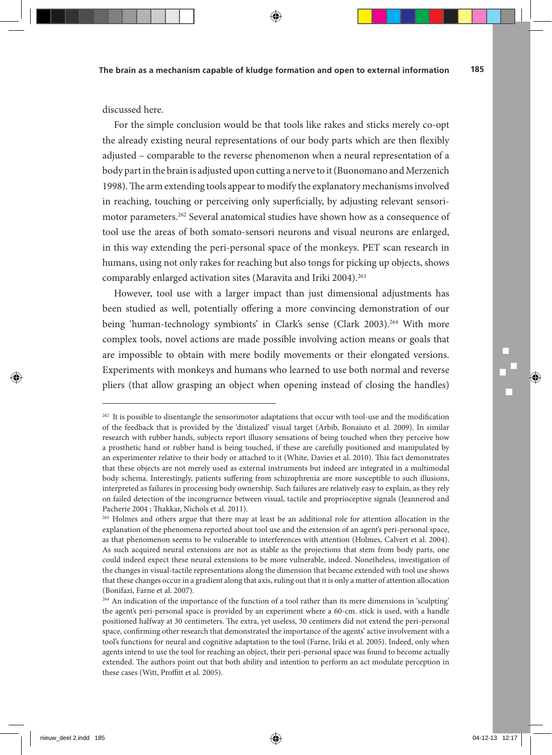discussed here.

For the simple conclusion would be that tools like rakes and sticks merely co-opt the already existing neural representations of our body parts which are then flexibly adjusted – comparable to the reverse phenomenon when a neural representation of a body part in the brain is adjusted upon cutting a nerve to it (Buonomano and Merzenich 1998). The arm extending tools appear to modify the explanatory mechanisms involved in reaching, touching or perceiving only superficially, by adjusting relevant sensorimotor parameters.262 Several anatomical studies have shown how as a consequence of tool use the areas of both somato-sensori neurons and visual neurons are enlarged, in this way extending the peri-personal space of the monkeys. PET scan research in humans, using not only rakes for reaching but also tongs for picking up objects, shows comparably enlarged activation sites (Maravita and Iriki 2004).<sup>263</sup>

However, tool use with a larger impact than just dimensional adjustments has been studied as well, potentially offering a more convincing demonstration of our being 'human-technology symbionts' in Clark's sense (Clark 2003).<sup>264</sup> With more complex tools, novel actions are made possible involving action means or goals that are impossible to obtain with mere bodily movements or their elongated versions. Experiments with monkeys and humans who learned to use both normal and reverse pliers (that allow grasping an object when opening instead of closing the handles)

<sup>&</sup>lt;sup>262</sup> It is possible to disentangle the sensorimotor adaptations that occur with tool-use and the modification of the feedback that is provided by the 'distalized' visual target (Arbib, Bonaiuto et al. 2009). In similar research with rubber hands, subjects report illusory sensations of being touched when they perceive how a prosthetic hand or rubber hand is being touched, if these are carefully positioned and manipulated by an experimenter relative to their body or attached to it (White, Davies et al. 2010). This fact demonstrates that these objects are not merely used as external instruments but indeed are integrated in a multimodal body schema. Interestingly, patients suffering from schizophrenia are more susceptible to such illusions, interpreted as failures in processing body ownership. Such failures are relatively easy to explain, as they rely on failed detection of the incongruence between visual, tactile and proprioceptive signals (Jeannerod and Pacherie 2004 ; Thakkar, Nichols et al. 2011).

<sup>263</sup> Holmes and others argue that there may at least be an additional role for attention allocation in the explanation of the phenomena reported about tool use and the extension of an agent's peri-personal space, as that phenomenon seems to be vulnerable to interferences with attention (Holmes, Calvert et al. 2004). As such acquired neural extensions are not as stable as the projections that stem from body parts, one could indeed expect these neural extensions to be more vulnerable, indeed. Nonetheless, investigation of the changes in visual-tactile representations along the dimension that became extended with tool use shows that these changes occur in a gradient along that axis, ruling out that it is only a matter of attention allocation (Bonifazi, Farne et al. 2007).

<sup>&</sup>lt;sup>264</sup> An indication of the importance of the function of a tool rather than its mere dimensions in 'sculpting' the agent's peri-personal space is provided by an experiment where a 60-cm. stick is used, with a handle positioned halfway at 30 centimeters. The extra, yet useless, 30 centimers did not extend the peri-personal space, confirming other research that demonstrated the importance of the agents' active involvement with a tool's functions for neural and cognitive adaptation to the tool (Farne, Iriki et al. 2005). Indeed, only when agents intend to use the tool for reaching an object, their peri-personal space was found to become actually extended. The authors point out that both ability and intention to perform an act modulate perception in these cases (Witt, Proffitt et al. 2005).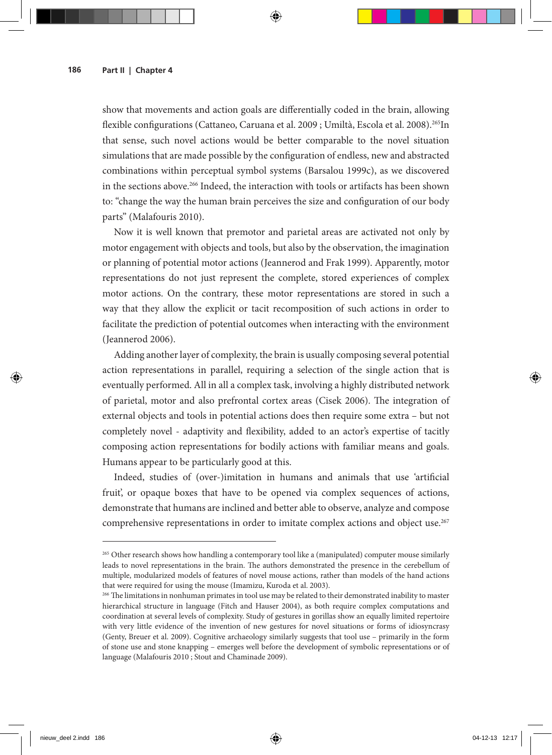show that movements and action goals are differentially coded in the brain, allowing flexible configurations (Cattaneo, Caruana et al. 2009 ; Umiltà, Escola et al. 2008).<sup>265</sup>In that sense, such novel actions would be better comparable to the novel situation simulations that are made possible by the configuration of endless, new and abstracted combinations within perceptual symbol systems (Barsalou 1999c), as we discovered in the sections above.<sup>266</sup> Indeed, the interaction with tools or artifacts has been shown to: "change the way the human brain perceives the size and configuration of our body parts" (Malafouris 2010).

Now it is well known that premotor and parietal areas are activated not only by motor engagement with objects and tools, but also by the observation, the imagination or planning of potential motor actions (Jeannerod and Frak 1999). Apparently, motor representations do not just represent the complete, stored experiences of complex motor actions. On the contrary, these motor representations are stored in such a way that they allow the explicit or tacit recomposition of such actions in order to facilitate the prediction of potential outcomes when interacting with the environment (Jeannerod 2006).

Adding another layer of complexity, the brain is usually composing several potential action representations in parallel, requiring a selection of the single action that is eventually performed. All in all a complex task, involving a highly distributed network of parietal, motor and also prefrontal cortex areas (Cisek 2006). The integration of external objects and tools in potential actions does then require some extra – but not completely novel - adaptivity and flexibility, added to an actor's expertise of tacitly composing action representations for bodily actions with familiar means and goals. Humans appear to be particularly good at this.

Indeed, studies of (over-)imitation in humans and animals that use 'artificial fruit', or opaque boxes that have to be opened via complex sequences of actions, demonstrate that humans are inclined and better able to observe, analyze and compose comprehensive representations in order to imitate complex actions and object use.<sup>267</sup>

<sup>265</sup> Other research shows how handling a contemporary tool like a (manipulated) computer mouse similarly leads to novel representations in the brain. The authors demonstrated the presence in the cerebellum of multiple, modularized models of features of novel mouse actions, rather than models of the hand actions that were required for using the mouse (Imamizu, Kuroda et al. 2003).

<sup>266</sup> The limitations in nonhuman primates in tool use may be related to their demonstrated inability to master hierarchical structure in language (Fitch and Hauser 2004), as both require complex computations and coordination at several levels of complexity. Study of gestures in gorillas show an equally limited repertoire with very little evidence of the invention of new gestures for novel situations or forms of idiosyncrasy (Genty, Breuer et al. 2009). Cognitive archaeology similarly suggests that tool use – primarily in the form of stone use and stone knapping – emerges well before the development of symbolic representations or of language (Malafouris 2010 ; Stout and Chaminade 2009).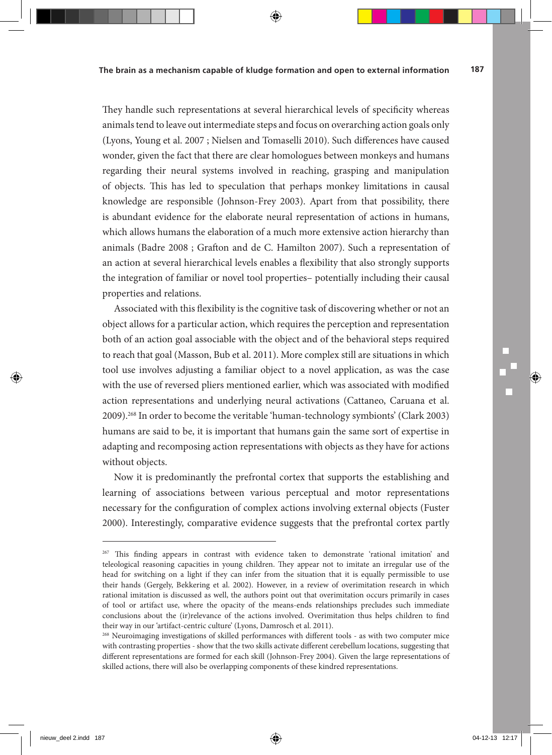They handle such representations at several hierarchical levels of specificity whereas animals tend to leave out intermediate steps and focus on overarching action goals only (Lyons, Young et al. 2007 ; Nielsen and Tomaselli 2010). Such differences have caused wonder, given the fact that there are clear homologues between monkeys and humans regarding their neural systems involved in reaching, grasping and manipulation of objects. This has led to speculation that perhaps monkey limitations in causal knowledge are responsible (Johnson-Frey 2003). Apart from that possibility, there is abundant evidence for the elaborate neural representation of actions in humans, which allows humans the elaboration of a much more extensive action hierarchy than animals (Badre 2008 ; Grafton and de C. Hamilton 2007). Such a representation of an action at several hierarchical levels enables a flexibility that also strongly supports the integration of familiar or novel tool properties– potentially including their causal properties and relations.

Associated with this flexibility is the cognitive task of discovering whether or not an object allows for a particular action, which requires the perception and representation both of an action goal associable with the object and of the behavioral steps required to reach that goal (Masson, Bub et al. 2011). More complex still are situations in which tool use involves adjusting a familiar object to a novel application, as was the case with the use of reversed pliers mentioned earlier, which was associated with modified action representations and underlying neural activations (Cattaneo, Caruana et al. 2009).268 In order to become the veritable 'human-technology symbionts' (Clark 2003) humans are said to be, it is important that humans gain the same sort of expertise in adapting and recomposing action representations with objects as they have for actions without objects.

Now it is predominantly the prefrontal cortex that supports the establishing and learning of associations between various perceptual and motor representations necessary for the configuration of complex actions involving external objects (Fuster 2000). Interestingly, comparative evidence suggests that the prefrontal cortex partly

<sup>&</sup>lt;sup>267</sup> This finding appears in contrast with evidence taken to demonstrate 'rational imitation' and teleological reasoning capacities in young children. They appear not to imitate an irregular use of the head for switching on a light if they can infer from the situation that it is equally permissible to use their hands (Gergely, Bekkering et al. 2002). However, in a review of overimitation research in which rational imitation is discussed as well, the authors point out that overimitation occurs primarily in cases of tool or artifact use, where the opacity of the means-ends relationships precludes such immediate conclusions about the (ir)relevance of the actions involved. Overimitation thus helps children to find their way in our 'artifact-centric culture' (Lyons, Damrosch et al. 2011).

<sup>&</sup>lt;sup>268</sup> Neuroimaging investigations of skilled performances with different tools - as with two computer mice with contrasting properties - show that the two skills activate different cerebellum locations, suggesting that different representations are formed for each skill (Johnson-Frey 2004). Given the large representations of skilled actions, there will also be overlapping components of these kindred representations.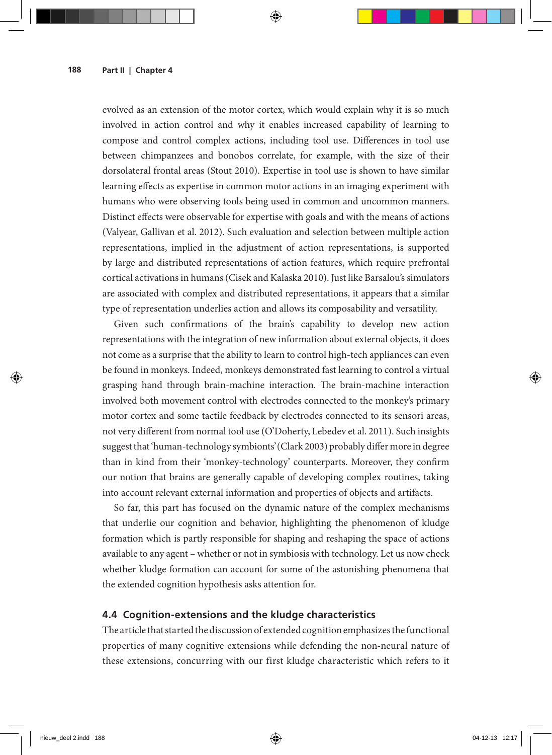evolved as an extension of the motor cortex, which would explain why it is so much involved in action control and why it enables increased capability of learning to compose and control complex actions, including tool use. Differences in tool use between chimpanzees and bonobos correlate, for example, with the size of their dorsolateral frontal areas (Stout 2010). Expertise in tool use is shown to have similar learning effects as expertise in common motor actions in an imaging experiment with humans who were observing tools being used in common and uncommon manners. Distinct effects were observable for expertise with goals and with the means of actions (Valyear, Gallivan et al. 2012). Such evaluation and selection between multiple action representations, implied in the adjustment of action representations, is supported by large and distributed representations of action features, which require prefrontal cortical activations in humans (Cisek and Kalaska 2010). Just like Barsalou's simulators are associated with complex and distributed representations, it appears that a similar type of representation underlies action and allows its composability and versatility.

Given such confirmations of the brain's capability to develop new action representations with the integration of new information about external objects, it does not come as a surprise that the ability to learn to control high-tech appliances can even be found in monkeys. Indeed, monkeys demonstrated fast learning to control a virtual grasping hand through brain-machine interaction. The brain-machine interaction involved both movement control with electrodes connected to the monkey's primary motor cortex and some tactile feedback by electrodes connected to its sensori areas, not very different from normal tool use (O'Doherty, Lebedev et al. 2011). Such insights suggest that 'human-technology symbionts' (Clark 2003) probably differ more in degree than in kind from their 'monkey-technology' counterparts. Moreover, they confirm our notion that brains are generally capable of developing complex routines, taking into account relevant external information and properties of objects and artifacts.

So far, this part has focused on the dynamic nature of the complex mechanisms that underlie our cognition and behavior, highlighting the phenomenon of kludge formation which is partly responsible for shaping and reshaping the space of actions available to any agent – whether or not in symbiosis with technology. Let us now check whether kludge formation can account for some of the astonishing phenomena that the extended cognition hypothesis asks attention for.

#### **4.4 Cognition-extensions and the kludge characteristics**

The article that started the discussion of extended cognition emphasizes the functional properties of many cognitive extensions while defending the non-neural nature of these extensions, concurring with our first kludge characteristic which refers to it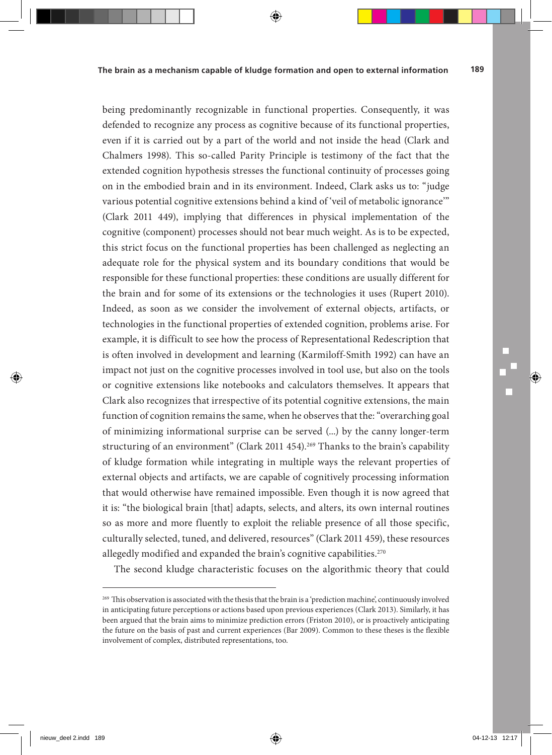being predominantly recognizable in functional properties. Consequently, it was defended to recognize any process as cognitive because of its functional properties, even if it is carried out by a part of the world and not inside the head (Clark and Chalmers 1998). This so-called Parity Principle is testimony of the fact that the extended cognition hypothesis stresses the functional continuity of processes going on in the embodied brain and in its environment. Indeed, Clark asks us to: "judge various potential cognitive extensions behind a kind of 'veil of metabolic ignorance'" (Clark 2011 449), implying that differences in physical implementation of the cognitive (component) processes should not bear much weight. As is to be expected, this strict focus on the functional properties has been challenged as neglecting an adequate role for the physical system and its boundary conditions that would be responsible for these functional properties: these conditions are usually different for the brain and for some of its extensions or the technologies it uses (Rupert 2010). Indeed, as soon as we consider the involvement of external objects, artifacts, or technologies in the functional properties of extended cognition, problems arise. For example, it is difficult to see how the process of Representational Redescription that is often involved in development and learning (Karmiloff-Smith 1992) can have an impact not just on the cognitive processes involved in tool use, but also on the tools or cognitive extensions like notebooks and calculators themselves. It appears that Clark also recognizes that irrespective of its potential cognitive extensions, the main function of cognition remains the same, when he observes that the: "overarching goal of minimizing informational surprise can be served (...) by the canny longer-term structuring of an environment" (Clark 2011 454).<sup>269</sup> Thanks to the brain's capability of kludge formation while integrating in multiple ways the relevant properties of external objects and artifacts, we are capable of cognitively processing information that would otherwise have remained impossible. Even though it is now agreed that it is: "the biological brain [that] adapts, selects, and alters, its own internal routines so as more and more fluently to exploit the reliable presence of all those specific, culturally selected, tuned, and delivered, resources" (Clark 2011 459), these resources allegedly modified and expanded the brain's cognitive capabilities.<sup>270</sup>

The second kludge characteristic focuses on the algorithmic theory that could

<sup>269</sup> This observation is associated with the thesis that the brain is a 'prediction machine', continuously involved in anticipating future perceptions or actions based upon previous experiences (Clark 2013). Similarly, it has been argued that the brain aims to minimize prediction errors (Friston 2010), or is proactively anticipating the future on the basis of past and current experiences (Bar 2009). Common to these theses is the flexible involvement of complex, distributed representations, too.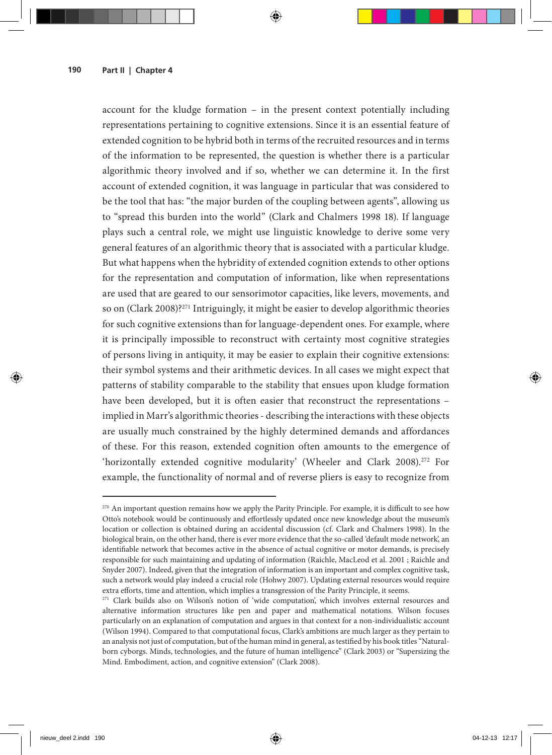account for the kludge formation – in the present context potentially including representations pertaining to cognitive extensions. Since it is an essential feature of extended cognition to be hybrid both in terms of the recruited resources and in terms of the information to be represented, the question is whether there is a particular algorithmic theory involved and if so, whether we can determine it. In the first account of extended cognition, it was language in particular that was considered to be the tool that has: "the major burden of the coupling between agents", allowing us to "spread this burden into the world" (Clark and Chalmers 1998 18). If language plays such a central role, we might use linguistic knowledge to derive some very general features of an algorithmic theory that is associated with a particular kludge. But what happens when the hybridity of extended cognition extends to other options for the representation and computation of information, like when representations are used that are geared to our sensorimotor capacities, like levers, movements, and so on (Clark 2008)?271 Intriguingly, it might be easier to develop algorithmic theories for such cognitive extensions than for language-dependent ones. For example, where it is principally impossible to reconstruct with certainty most cognitive strategies of persons living in antiquity, it may be easier to explain their cognitive extensions: their symbol systems and their arithmetic devices. In all cases we might expect that patterns of stability comparable to the stability that ensues upon kludge formation have been developed, but it is often easier that reconstruct the representations – implied in Marr's algorithmic theories - describing the interactions with these objects are usually much constrained by the highly determined demands and affordances of these. For this reason, extended cognition often amounts to the emergence of 'horizontally extended cognitive modularity' (Wheeler and Clark 2008).272 For example, the functionality of normal and of reverse pliers is easy to recognize from

<sup>&</sup>lt;sup>270</sup> An important question remains how we apply the Parity Principle. For example, it is difficult to see how Otto's notebook would be continuously and effortlessly updated once new knowledge about the museum's location or collection is obtained during an accidental discussion (cf. Clark and Chalmers 1998). In the biological brain, on the other hand, there is ever more evidence that the so-called 'default mode network', an identifiable network that becomes active in the absence of actual cognitive or motor demands, is precisely responsible for such maintaining and updating of information (Raichle, MacLeod et al. 2001 ; Raichle and Snyder 2007). Indeed, given that the integration of information is an important and complex cognitive task, such a network would play indeed a crucial role (Hohwy 2007). Updating external resources would require extra efforts, time and attention, which implies a transgression of the Parity Principle, it seems.

<sup>271</sup> Clark builds also on Wilson's notion of 'wide computation', which involves external resources and alternative information structures like pen and paper and mathematical notations. Wilson focuses particularly on an explanation of computation and argues in that context for a non-individualistic account (Wilson 1994). Compared to that computational focus, Clark's ambitions are much larger as they pertain to an analysis not just of computation, but of the human mind in general, as testified by his book titles "Naturalborn cyborgs. Minds, technologies, and the future of human intelligence" (Clark 2003) or "Supersizing the Mind. Embodiment, action, and cognitive extension" (Clark 2008).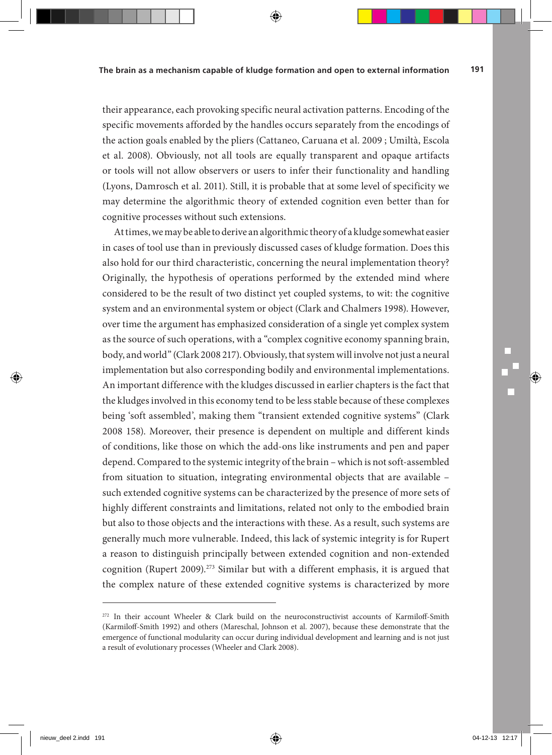their appearance, each provoking specific neural activation patterns. Encoding of the specific movements afforded by the handles occurs separately from the encodings of the action goals enabled by the pliers (Cattaneo, Caruana et al. 2009 ; Umiltà, Escola et al. 2008). Obviously, not all tools are equally transparent and opaque artifacts or tools will not allow observers or users to infer their functionality and handling (Lyons, Damrosch et al. 2011). Still, it is probable that at some level of specificity we may determine the algorithmic theory of extended cognition even better than for cognitive processes without such extensions.

At times, we may be able to derive an algorithmic theory of a kludge somewhat easier in cases of tool use than in previously discussed cases of kludge formation. Does this also hold for our third characteristic, concerning the neural implementation theory? Originally, the hypothesis of operations performed by the extended mind where considered to be the result of two distinct yet coupled systems, to wit: the cognitive system and an environmental system or object (Clark and Chalmers 1998). However, over time the argument has emphasized consideration of a single yet complex system as the source of such operations, with a "complex cognitive economy spanning brain, body, and world" (Clark 2008 217). Obviously, that system will involve not just a neural implementation but also corresponding bodily and environmental implementations. An important difference with the kludges discussed in earlier chapters is the fact that the kludges involved in this economy tend to be less stable because of these complexes being 'soft assembled', making them "transient extended cognitive systems" (Clark 2008 158). Moreover, their presence is dependent on multiple and different kinds of conditions, like those on which the add-ons like instruments and pen and paper depend. Compared to the systemic integrity of the brain – which is not soft-assembled from situation to situation, integrating environmental objects that are available – such extended cognitive systems can be characterized by the presence of more sets of highly different constraints and limitations, related not only to the embodied brain but also to those objects and the interactions with these. As a result, such systems are generally much more vulnerable. Indeed, this lack of systemic integrity is for Rupert a reason to distinguish principally between extended cognition and non-extended cognition (Rupert 2009).273 Similar but with a different emphasis, it is argued that the complex nature of these extended cognitive systems is characterized by more

<sup>&</sup>lt;sup>272</sup> In their account Wheeler & Clark build on the neuroconstructivist accounts of Karmiloff-Smith (Karmiloff-Smith 1992) and others (Mareschal, Johnson et al. 2007), because these demonstrate that the emergence of functional modularity can occur during individual development and learning and is not just a result of evolutionary processes (Wheeler and Clark 2008).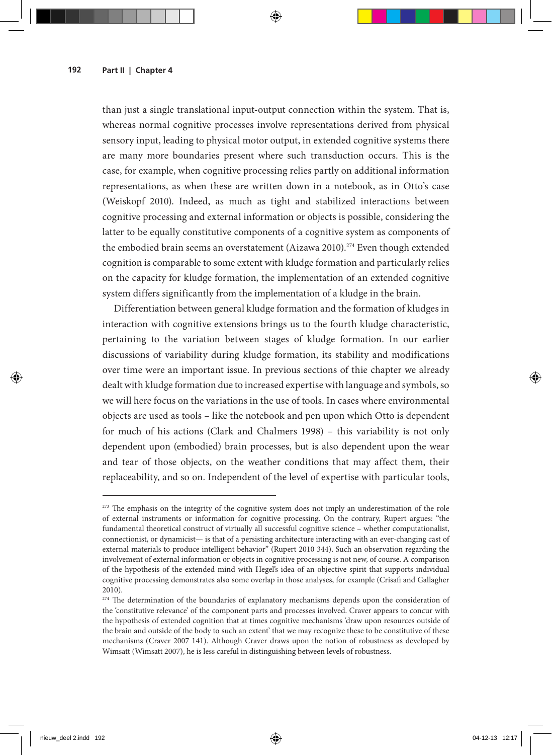than just a single translational input-output connection within the system. That is, whereas normal cognitive processes involve representations derived from physical sensory input, leading to physical motor output, in extended cognitive systems there are many more boundaries present where such transduction occurs. This is the case, for example, when cognitive processing relies partly on additional information representations, as when these are written down in a notebook, as in Otto's case (Weiskopf 2010). Indeed, as much as tight and stabilized interactions between cognitive processing and external information or objects is possible, considering the latter to be equally constitutive components of a cognitive system as components of the embodied brain seems an overstatement (Aizawa 2010).<sup>274</sup> Even though extended cognition is comparable to some extent with kludge formation and particularly relies on the capacity for kludge formation, the implementation of an extended cognitive system differs significantly from the implementation of a kludge in the brain.

Differentiation between general kludge formation and the formation of kludges in interaction with cognitive extensions brings us to the fourth kludge characteristic, pertaining to the variation between stages of kludge formation. In our earlier discussions of variability during kludge formation, its stability and modifications over time were an important issue. In previous sections of thie chapter we already dealt with kludge formation due to increased expertise with language and symbols, so we will here focus on the variations in the use of tools. In cases where environmental objects are used as tools – like the notebook and pen upon which Otto is dependent for much of his actions (Clark and Chalmers 1998) – this variability is not only dependent upon (embodied) brain processes, but is also dependent upon the wear and tear of those objects, on the weather conditions that may affect them, their replaceability, and so on. Independent of the level of expertise with particular tools,

<sup>&</sup>lt;sup>273</sup> The emphasis on the integrity of the cognitive system does not imply an underestimation of the role of external instruments or information for cognitive processing. On the contrary, Rupert argues: "the fundamental theoretical construct of virtually all successful cognitive science – whether computationalist, connectionist, or dynamicist— is that of a persisting architecture interacting with an ever-changing cast of external materials to produce intelligent behavior" (Rupert 2010 344). Such an observation regarding the involvement of external information or objects in cognitive processing is not new, of course. A comparison of the hypothesis of the extended mind with Hegel's idea of an objective spirit that supports individual cognitive processing demonstrates also some overlap in those analyses, for example (Crisafi and Gallagher 2010).

<sup>&</sup>lt;sup>274</sup> The determination of the boundaries of explanatory mechanisms depends upon the consideration of the 'constitutive relevance' of the component parts and processes involved. Craver appears to concur with the hypothesis of extended cognition that at times cognitive mechanisms 'draw upon resources outside of the brain and outside of the body to such an extent' that we may recognize these to be constitutive of these mechanisms (Craver 2007 141). Although Craver draws upon the notion of robustness as developed by Wimsatt (Wimsatt 2007), he is less careful in distinguishing between levels of robustness.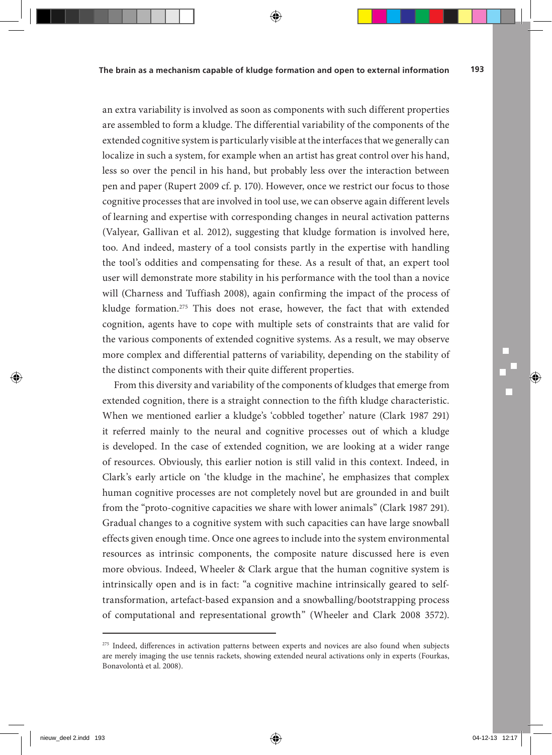an extra variability is involved as soon as components with such different properties are assembled to form a kludge. The differential variability of the components of the extended cognitive system is particularly visible at the interfaces that we generally can localize in such a system, for example when an artist has great control over his hand, less so over the pencil in his hand, but probably less over the interaction between pen and paper (Rupert 2009 cf. p. 170). However, once we restrict our focus to those cognitive processes that are involved in tool use, we can observe again different levels of learning and expertise with corresponding changes in neural activation patterns (Valyear, Gallivan et al. 2012), suggesting that kludge formation is involved here, too. And indeed, mastery of a tool consists partly in the expertise with handling the tool's oddities and compensating for these. As a result of that, an expert tool user will demonstrate more stability in his performance with the tool than a novice will (Charness and Tuffiash 2008), again confirming the impact of the process of kludge formation.275 This does not erase, however, the fact that with extended cognition, agents have to cope with multiple sets of constraints that are valid for the various components of extended cognitive systems. As a result, we may observe more complex and differential patterns of variability, depending on the stability of the distinct components with their quite different properties.

From this diversity and variability of the components of kludges that emerge from extended cognition, there is a straight connection to the fifth kludge characteristic. When we mentioned earlier a kludge's 'cobbled together' nature (Clark 1987 291) it referred mainly to the neural and cognitive processes out of which a kludge is developed. In the case of extended cognition, we are looking at a wider range of resources. Obviously, this earlier notion is still valid in this context. Indeed, in Clark's early article on 'the kludge in the machine', he emphasizes that complex human cognitive processes are not completely novel but are grounded in and built from the "proto-cognitive capacities we share with lower animals" (Clark 1987 291). Gradual changes to a cognitive system with such capacities can have large snowball effects given enough time. Once one agrees to include into the system environmental resources as intrinsic components, the composite nature discussed here is even more obvious. Indeed, Wheeler & Clark argue that the human cognitive system is intrinsically open and is in fact: "a cognitive machine intrinsically geared to selftransformation, artefact-based expansion and a snowballing/bootstrapping process of computational and representational growth" (Wheeler and Clark 2008 3572).

<sup>275</sup> Indeed, differences in activation patterns between experts and novices are also found when subjects are merely imaging the use tennis rackets, showing extended neural activations only in experts (Fourkas, Bonavolontà et al. 2008).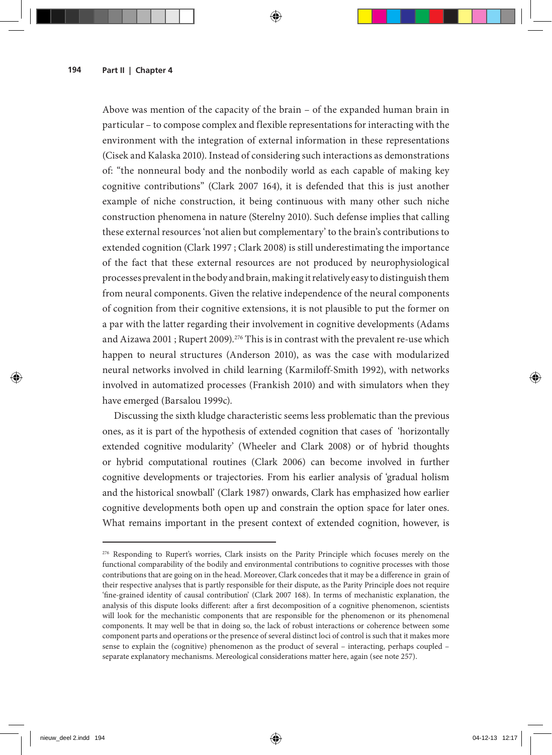Above was mention of the capacity of the brain – of the expanded human brain in particular – to compose complex and flexible representations for interacting with the environment with the integration of external information in these representations (Cisek and Kalaska 2010). Instead of considering such interactions as demonstrations of: "the nonneural body and the nonbodily world as each capable of making key cognitive contributions" (Clark 2007 164), it is defended that this is just another example of niche construction, it being continuous with many other such niche construction phenomena in nature (Sterelny 2010). Such defense implies that calling these external resources 'not alien but complementary' to the brain's contributions to extended cognition (Clark 1997 ; Clark 2008) is still underestimating the importance of the fact that these external resources are not produced by neurophysiological processes prevalent in the body and brain, making it relatively easy to distinguish them from neural components. Given the relative independence of the neural components of cognition from their cognitive extensions, it is not plausible to put the former on a par with the latter regarding their involvement in cognitive developments (Adams and Aizawa 2001; Rupert 2009).<sup>276</sup> This is in contrast with the prevalent re-use which happen to neural structures (Anderson 2010), as was the case with modularized neural networks involved in child learning (Karmiloff-Smith 1992), with networks involved in automatized processes (Frankish 2010) and with simulators when they have emerged (Barsalou 1999c).

Discussing the sixth kludge characteristic seems less problematic than the previous ones, as it is part of the hypothesis of extended cognition that cases of 'horizontally extended cognitive modularity' (Wheeler and Clark 2008) or of hybrid thoughts or hybrid computational routines (Clark 2006) can become involved in further cognitive developments or trajectories. From his earlier analysis of 'gradual holism and the historical snowball' (Clark 1987) onwards, Clark has emphasized how earlier cognitive developments both open up and constrain the option space for later ones. What remains important in the present context of extended cognition, however, is

<sup>276</sup> Responding to Rupert's worries, Clark insists on the Parity Principle which focuses merely on the functional comparability of the bodily and environmental contributions to cognitive processes with those contributions that are going on in the head. Moreover, Clark concedes that it may be a difference in grain of their respective analyses that is partly responsible for their dispute, as the Parity Principle does not require 'fine-grained identity of causal contribution' (Clark 2007 168). In terms of mechanistic explanation, the analysis of this dispute looks different: after a first decomposition of a cognitive phenomenon, scientists will look for the mechanistic components that are responsible for the phenomenon or its phenomenal components. It may well be that in doing so, the lack of robust interactions or coherence between some component parts and operations or the presence of several distinct loci of control is such that it makes more sense to explain the (cognitive) phenomenon as the product of several – interacting, perhaps coupled – separate explanatory mechanisms. Mereological considerations matter here, again (see note 257).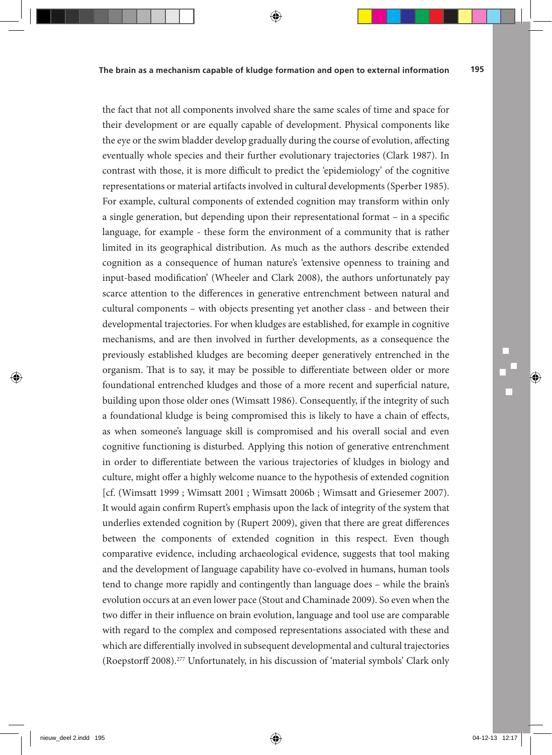the fact that not all components involved share the same scales of time and space for their development or are equally capable of development. Physical components like the eye or the swim bladder develop gradually during the course of evolution, affecting eventually whole species and their further evolutionary trajectories (Clark 1987). In contrast with those, it is more difficult to predict the 'epidemiology' of the cognitive representations or material artifacts involved in cultural developments (Sperber 1985). For example, cultural components of extended cognition may transform within only a single generation, but depending upon their representational format – in a specific language, for example - these form the environment of a community that is rather limited in its geographical distribution. As much as the authors describe extended cognition as a consequence of human nature's 'extensive openness to training and input-based modification' (Wheeler and Clark 2008), the authors unfortunately pay scarce attention to the differences in generative entrenchment between natural and cultural components – with objects presenting yet another class - and between their developmental trajectories. For when kludges are established, for example in cognitive mechanisms, and are then involved in further developments, as a consequence the previously established kludges are becoming deeper generatively entrenched in the organism. That is to say, it may be possible to differentiate between older or more foundational entrenched kludges and those of a more recent and superficial nature, building upon those older ones (Wimsatt 1986). Consequently, if the integrity of such a foundational kludge is being compromised this is likely to have a chain of effects, as when someone's language skill is compromised and his overall social and even cognitive functioning is disturbed. Applying this notion of generative entrenchment in order to differentiate between the various trajectories of kludges in biology and culture, might offer a highly welcome nuance to the hypothesis of extended cognition [cf. (Wimsatt 1999 ; Wimsatt 2001 ; Wimsatt 2006b ; Wimsatt and Griesemer 2007). It would again confirm Rupert's emphasis upon the lack of integrity of the system that underlies extended cognition by (Rupert 2009), given that there are great differences between the components of extended cognition in this respect. Even though comparative evidence, including archaeological evidence, suggests that tool making and the development of language capability have co-evolved in humans, human tools tend to change more rapidly and contingently than language does – while the brain's evolution occurs at an even lower pace (Stout and Chaminade 2009). So even when the two differ in their influence on brain evolution, language and tool use are comparable with regard to the complex and composed representations associated with these and which are differentially involved in subsequent developmental and cultural trajectories (Roepstorff 2008).277 Unfortunately, in his discussion of 'material symbols' Clark only